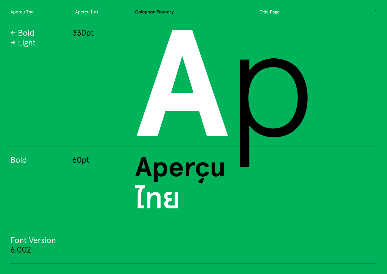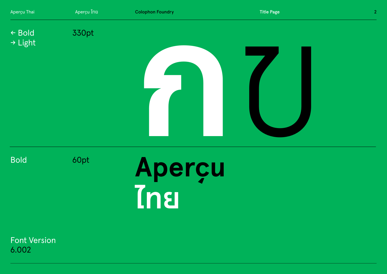

Bold

60pt

# **Aperçu ไทย**

Font Version 6.002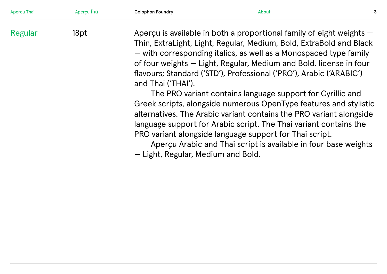| Aperçu Thai | Aperçu ไทย | <b>Colophon Foundry</b> | About                                                                                                                                                                                                                                                                                                                                                                                                     | 3 |
|-------------|------------|-------------------------|-----------------------------------------------------------------------------------------------------------------------------------------------------------------------------------------------------------------------------------------------------------------------------------------------------------------------------------------------------------------------------------------------------------|---|
| Regular     | 18pt       | and Thai ('THAI').      | Aperçu is available in both a proportional family of eight weights $-$<br>Thin, ExtraLight, Light, Regular, Medium, Bold, ExtraBold and Black<br>- with corresponding italics, as well as a Monospaced type family<br>of four weights – Light, Regular, Medium and Bold. license in four<br>flavours; Standard ('STD'), Professional ('PRO'), Arabic ('ARABIC')                                           |   |
|             |            |                         | The PRO variant contains language support for Cyrillic and<br>Greek scripts, alongside numerous OpenType features and stylistic<br>alternatives. The Arabic variant contains the PRO variant alongside<br>language support for Arabic script. The Thai variant contains the<br>PRO variant alongside language support for Thai script.<br>Aperçu Arabic and Thai script is available in four base weights |   |

— Light, Regular, Medium and Bold.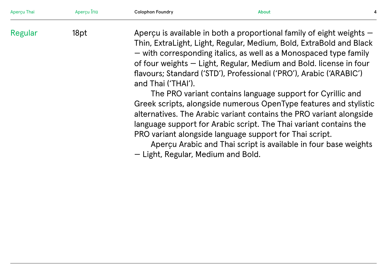| Aperçu Thai | Aperçu ไทย | <b>Colophon Foundry</b> | About                                                                                                                                                                                                                                                                                                                                                                                                     |  |
|-------------|------------|-------------------------|-----------------------------------------------------------------------------------------------------------------------------------------------------------------------------------------------------------------------------------------------------------------------------------------------------------------------------------------------------------------------------------------------------------|--|
| Regular     | 18pt       | and Thai ('THAI').      | Aperçu is available in both a proportional family of eight weights $-$<br>Thin, ExtraLight, Light, Regular, Medium, Bold, ExtraBold and Black<br>- with corresponding italics, as well as a Monospaced type family<br>of four weights - Light, Regular, Medium and Bold. license in four<br>flavours; Standard ('STD'), Professional ('PRO'), Arabic ('ARABIC')                                           |  |
|             |            |                         | The PRO variant contains language support for Cyrillic and<br>Greek scripts, alongside numerous OpenType features and stylistic<br>alternatives. The Arabic variant contains the PRO variant alongside<br>language support for Arabic script. The Thai variant contains the<br>PRO variant alongside language support for Thai script.<br>Apercu Arabic and Thai script is available in four base weights |  |

— Light, Regular, Medium and Bold.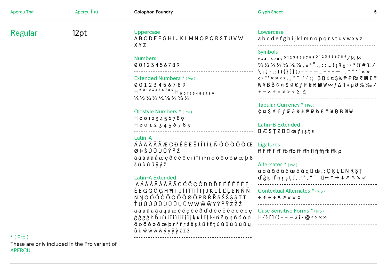| Aperçu Thai | Aperçu ไทย | <b>Colophon Foundry</b>                                                                                                                                                                                                                                                                                                                                                                                                                                          | <b>Glyph Sheet</b><br>5                                                                                                                                                                                                                                                                                                                                               |
|-------------|------------|------------------------------------------------------------------------------------------------------------------------------------------------------------------------------------------------------------------------------------------------------------------------------------------------------------------------------------------------------------------------------------------------------------------------------------------------------------------|-----------------------------------------------------------------------------------------------------------------------------------------------------------------------------------------------------------------------------------------------------------------------------------------------------------------------------------------------------------------------|
| Regular     | 12pt       | Uppercase<br>ABCDEFGHIJKLMNOPQRSTUVW<br>X Y Z                                                                                                                                                                                                                                                                                                                                                                                                                    | Lowercase<br>abcdefghijklmnopqrstuvwxyz                                                                                                                                                                                                                                                                                                                               |
|             |            | <b>Numbers</b><br>00123456789                                                                                                                                                                                                                                                                                                                                                                                                                                    | Symbols<br>2345678901234567890123456789/1/21/3<br>$\frac{2}{3}$ $\frac{1}{4}$ $\frac{3}{4}$ $\frac{1}{8}$ $\frac{1}{8}$ $\frac{5}{8}$ $\frac{1}{8}$ $\frac{1}{8}$ $\frac{0}{8}$ $\frac{0}{8}$ $\frac{0}{8}$ $\frac{0}{8}$ $\frac{0}{8}$ $\frac{0}{8}$ $\frac{0}{8}$ $\frac{0}{8}$ $\frac{0}{8}$ $\frac{0}{8}$ $\frac{0}{8}$ $\frac{0}{8}$ $\frac{0}{8}$ $\frac{0}{8}$ |
|             |            | Extended Numbers * (Pro)<br>00123456789                                                                                                                                                                                                                                                                                                                                                                                                                          | \i $\dot{\varepsilon}$ ·, ; () { } [ ] ( ) - - - - _ - - - - , , " " '' < ><br>$W \nless B B C \times S \triangleleft E f F E K W \otimes (\Delta \Pi \vee \mu \partial \times \mathcal{S}_{0}$<br>$+ - x ÷ = \neq$ > < $\geq$ $\leq$                                                                                                                                 |
|             |            | $\frac{1}{4}$ $\frac{1}{2}$ $\frac{3}{4}$ $\frac{1}{3}$ $\frac{2}{3}$ $\frac{1}{8}$ $\frac{3}{8}$ $\frac{5}{8}$ $\frac{7}{8}$<br>Oldstyle Numbers * (Pro)                                                                                                                                                                                                                                                                                                        | Tabular Currency * (Pro)<br>$c$ $\alpha$ $S$ $d$ $\epsilon$ $f$ $F$ $d$ $K$ $k$ $P$ $P$ $R$ $E$ $T$ $Y$ $B$ $B$ $D$ $W$                                                                                                                                                                                                                                               |
|             |            | $H\omega$ 0123456789<br>$H$ 00123456789                                                                                                                                                                                                                                                                                                                                                                                                                          | Latin-B Extended                                                                                                                                                                                                                                                                                                                                                      |
|             |            | Latin-A<br>$\hat{A}$ $\hat{A}$ $\hat{A}$ $\hat{A}$ $\hat{A}$ $\hat{A}$ $\hat{E}$ $C$ $D$ $\hat{E}$ $\hat{E}$ $\hat{E}$ $\hat{I}$ $\hat{I}$ $\hat{I}$ $\hat{I}$ $\hat{E}$ $\hat{D}$ $\hat{O}$ $\hat{O}$ $\hat{O}$ $\hat{O}$ $\hat{O}$ $\hat{C}$ $E$ Ligatures<br>ØÞŠÚÛÙÜÝŸŽ                                                                                                                                                                                       | If fi ffi fl ffl fb ffb fh ffh fi fj ffj fk ffk $\rho$                                                                                                                                                                                                                                                                                                                |
|             |            | áâàãäåæçðéèêëiíîìïłñóòôöõøœþß<br>Šúùûüÿýž                                                                                                                                                                                                                                                                                                                                                                                                                        | Alternates * (Pro)<br>$a\dot{a}\dot{a}\dot{a}\ddot{a}\ddot{a}\ddot{a}\ddot{a}\ddot{a}\ddot{a}\ddot{a}$ $\ddot{a}$ $\ddot{a}$ , $\ddot{b}$ , $\ddot{c}$ , $\ddot{c}$ $\ddot{c}$ , $\ddot{c}$                                                                                                                                                                           |
|             |            | Latin-A Extended<br>AÁ Ă Â Ä À Ā Å Ã C Ć Č Ç Ĉ D Đ Ď E É Ě Ě Ê Ë Ë<br>ÈĒGĞĜĢHĦIIJÍĬÎÏİÌĪĮJKLĹĽĻĿNŃŇ<br>NNOÓŎÔÖÒŐŌØÕPRŔŘSŚŠȘȘTT<br>ŤUÚŬÛŨÙŰŪŲŮWŴŴŴYÝŶŸZŹŽ<br>a á ă â ä à ā ą ã æ ć č ç ĉ ċ ð ď đ é ĕ ě ê ë ė è ē ę<br>ğ ĝ ģ ġ ħ ĥ ı í ĭ î ï i ì ij ī į ĩ ĵ ķ ĸ ĺ ľ ļ ŀ ł ń ň ņ ŋ ñ ó ŏ ô<br>öòőōøõœþrŕřŗśšșŝßŧťțúŭûüùűūų<br>$\hat{u}$ $\tilde{u}$ $\tilde{w}$ $\hat{w}$ $\tilde{w}$ $\tilde{w}$ $\varphi$ $\varphi$ $\tilde{y}$ $\varphi$ $\zeta$ $\zeta$ $\zeta$ |                                                                                                                                                                                                                                                                                                                                                                       |
|             |            |                                                                                                                                                                                                                                                                                                                                                                                                                                                                  | Contextual Alternates * (Pro)<br>$\leftarrow$ $\uparrow$ $\rightarrow$ $\downarrow$ $\kappa$ $\lrcorner$ $\kappa$ $\lrcorner$ $\downarrow$                                                                                                                                                                                                                            |
|             |            |                                                                                                                                                                                                                                                                                                                                                                                                                                                                  | Case Sensitive Forms * (Pro)                                                                                                                                                                                                                                                                                                                                          |

These are only included in the Pro variant of APERÇU.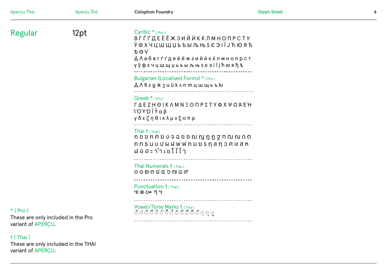| Aperçu Thai                                                          | Aperçu ไทย | <b>Colophon Foundry</b>                                                                                                                                                                        | <b>Glyph Sheet</b> | $\pmb{6}$ |
|----------------------------------------------------------------------|------------|------------------------------------------------------------------------------------------------------------------------------------------------------------------------------------------------|--------------------|-----------|
| Regular                                                              | 12pt       | Cyrillic <sup>*</sup> (Pro)<br>ВГЃҐДЕЀЁЖЗИЙЍКЌЛМНОПРСТУ<br>Ў Ф Х Ч Ц Ш Щ Џ Ь Ъ Ы Љ Њ Ѕ Є Э I Ї Ј Ћ Ю Я Ђ<br><b>BOV</b><br><b>ДЛабвгѓгдеѐёжзийѝкќлмнопрст</b><br>уўфхчцшщџьъыљњ s є эії j ћюяђѣ |                    |           |
|                                                                      |            | Bulgarian (Localised Forms) * (Pro)<br>Д Л в г д ж з и й к л п т ц ш щ ь ъ ю                                                                                                                   |                    |           |
|                                                                      |            | Greek $*$ (Pro)<br><b>ΓΔΕΖΗΘΙΚΛΜΝΞΟΠΡΣΤΥΦΧΨΩΆΈΉ</b><br>ΊΌΎΏΪΫαβ<br>γδεζηθικλμνξοπρ<br>------------------------                                                                                 |                    |           |
|                                                                      |            | Thai $\dagger$ (Thai)<br>ถ ท ธ น บ ป ผ ฝ พ ฟ ภ ม ย ร กุ ล ฦ ว ศ ษ ส ห<br>$W_0 = 5$ ะ าำ เ $W_1$ $\{ \}$ $\{ \}$                                                                                |                    |           |
|                                                                      |            | Thai Numerals $\dagger$ (Thai)<br>$0900600000$                                                                                                                                                 |                    |           |
|                                                                      |            | Punctuation † (Thai)<br>$400$ $64$                                                                                                                                                             |                    |           |
| $*(Pro)$<br>These are only included in the Pro<br>variant of APERCU. |            | Vowel/Tone Marks † (Thai)<br>ここうごこことここここここ                                                                                                                                                     |                    |           |
| $\dagger$ (Thai)<br>These are enly included in the TUAL              |            |                                                                                                                                                                                                |                    |           |

These are only included in the THAI<br>variant of APERÇU.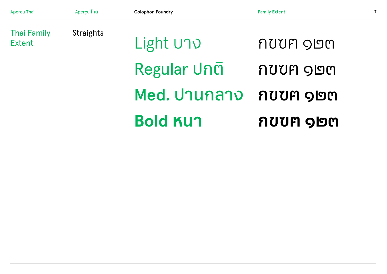| Aperçu Thai                  | Aperçu ไทย       | <b>Colophon Foundry</b> | <b>Family Extent</b> |  |
|------------------------------|------------------|-------------------------|----------------------|--|
| <b>Thai Family</b><br>Extent | <b>Straights</b> | Light UND               | กบบท ๑๒๓             |  |
|                              |                  | Regular ปกติ            | กบบท ๑๒๓             |  |
|                              |                  | Med. ปานกลาง กขฃฅ ๑๒๓   |                      |  |
|                              |                  | <b>Bold KUN</b>         | กขขฅ ๑๒๓             |  |
|                              |                  |                         |                      |  |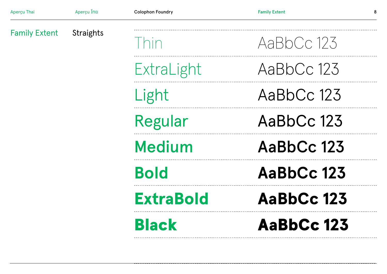|                      |                  | <b>Black</b>            | <b>AaBbCc 123</b>    |
|----------------------|------------------|-------------------------|----------------------|
|                      |                  | <b>ExtraBold</b>        | <b>AaBbCc 123</b>    |
|                      |                  | <b>Bold</b>             | AaBbCc 123           |
|                      |                  | <b>Medium</b>           | AaBbCc 123           |
|                      |                  | <b>Regular</b>          | AaBbCc 123           |
|                      |                  | Light                   | AaBbCc 123           |
|                      |                  | ExtraLight              | AaBbCc 123           |
| <b>Family Extent</b> | <b>Straights</b> | hin                     | AaBbCc 123           |
| Aperçu Thai          | Aperçu ไทย       | <b>Colophon Foundry</b> | <b>Family Extent</b> |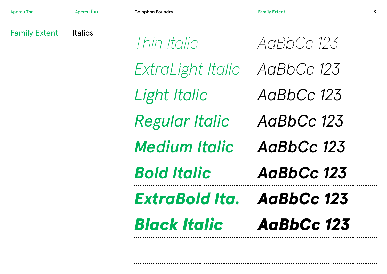| Aperçu Thai          | Aperçu ไทย     | <b>Colophon Foundry</b>      | <b>Family Extent</b><br>9 |
|----------------------|----------------|------------------------------|---------------------------|
| <b>Family Extent</b> | <b>Italics</b> | Thin Italic                  | AaRbCc 123                |
|                      |                | ExtraLight Italic AaBbCc 123 |                           |
|                      |                | Light Italic                 | AaBbCc 123                |
|                      |                | <b>Regular Italic</b>        | AaBbCc 123                |
|                      |                | <b>Medium Italic</b>         | AaBbCc 123                |
|                      |                | <b>Bold Italic</b>           | AaBbCc 123                |
|                      |                | <b>ExtraBold Ita.</b>        | AaBbCc 123                |
|                      |                | <b>Black Italic</b>          | AaBbCc 123                |
|                      |                |                              |                           |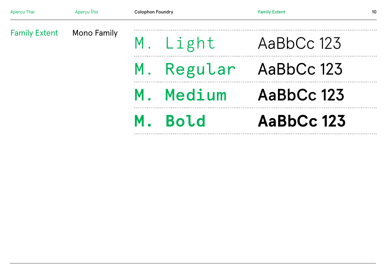| Aperçu Thai | Aperçu ไทย                       | <b>Colophon Foundry</b> | <b>Family Extent</b><br>10 |
|-------------|----------------------------------|-------------------------|----------------------------|
|             | <b>Family Extent Mono Family</b> | M. Light AaBbCc 123     |                            |
|             |                                  | M. Regular AaBbCc 123   |                            |
|             | M. Medium AaBbCc 123             |                         |                            |
|             |                                  | M. Bold                 | AaBbCc 123                 |
|             |                                  |                         |                            |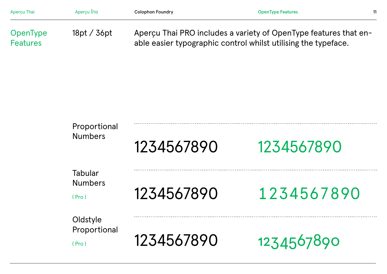| Aperçu Thai                 | Apercu ไทย | <b>Colophon Foundry</b>                                                                                                            | <b>OpenType Features</b> | 11 |
|-----------------------------|------------|------------------------------------------------------------------------------------------------------------------------------------|--------------------------|----|
| OpenType<br><b>Features</b> | 18pt/36pt  | Apercu Thai PRO includes a variety of OpenType features that en-<br>able easier typographic control whilst utilising the typeface. |                          |    |

| Proportional<br><b>Numbers</b>            | 1234567890 | 1234567890 |
|-------------------------------------------|------------|------------|
| <b>Tabular</b><br><b>Numbers</b><br>(Pro) | 1234567890 | 1234567890 |
| Oldstyle<br>Proportional<br>(Pro)         | 1234567890 | 1234567890 |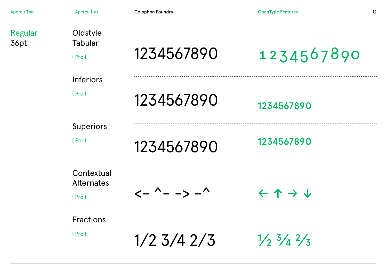| Aperçu Thai     | Aperçu ไทย                      | <b>Colophon Foundry</b>                                                      | <b>OpenType Features</b>                  | 12 |
|-----------------|---------------------------------|------------------------------------------------------------------------------|-------------------------------------------|----|
| Regular<br>36pt | Oldstyle<br><b>Tabular</b>      |                                                                              |                                           |    |
|                 | (Pro)                           | 1234567890                                                                   | 1234567890                                |    |
|                 | <b>Inferiors</b>                |                                                                              |                                           |    |
|                 | (Pro)                           | 1234567890                                                                   | 1234567890                                |    |
|                 | <b>Superiors</b>                |                                                                              |                                           |    |
|                 | (Pro)                           | 1234567890                                                                   | 1234567890                                |    |
|                 | Contextual<br><b>Alternates</b> |                                                                              |                                           |    |
|                 | (Pro)                           | $\left\langle -\right\rangle - -\right\rangle - \left\langle -\right\rangle$ | $\leftarrow$ 1 $\rightarrow$ $\downarrow$ |    |
|                 | <b>Fractions</b>                |                                                                              |                                           |    |
|                 | (Pro)                           | $1/2$ 3/4 2/3                                                                | $\frac{1}{2}$ $\frac{3}{4}$ $\frac{2}{3}$ |    |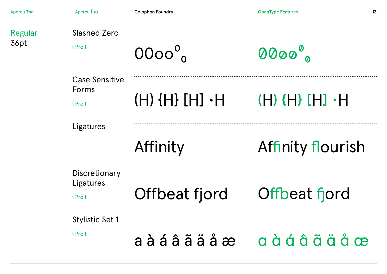| Aperçu Thai | Aperçu ไทย                              | <b>Colophon Foundry</b>            | <b>OpenType Features</b> | 13 |
|-------------|-----------------------------------------|------------------------------------|--------------------------|----|
| Regular     | <b>Slashed Zero</b>                     |                                    |                          |    |
| 36pt        | (Pro)                                   | $0000^{\circ}$                     | 0000°                    |    |
|             | <b>Case Sensitive</b><br>Forms<br>(Pro) | $(H)$ $(H)$ $(H) \cdot H$          | $(H)$ {H} [H] $\cdot$ H  |    |
|             | Ligatures                               |                                    |                          |    |
|             |                                         | Affinity                           | Affinity flourish        |    |
|             | Discretionary                           |                                    |                          |    |
|             | Ligatures<br>(Pro)                      | Offbeat fjord                      | Offbeat fjord            |    |
|             | <b>Stylistic Set 1</b>                  |                                    |                          |    |
|             | (Pro)                                   | $a \land a \land a \lor a \land a$ | a à á â ã ä å æ          |    |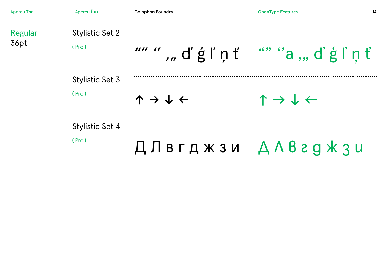| Aperçu Thai     | Aperçu ไทย                      | <b>Colophon Foundry</b>                      | <b>OpenType Features</b><br>14               |
|-----------------|---------------------------------|----------------------------------------------|----------------------------------------------|
| Regular<br>36pt | <b>Stylistic Set 2</b><br>(Pro) | "" " "d'ģľņť                                 | "a "d'ġľņť                                   |
|                 | Stylistic Set 3<br>(Pro)        | $\uparrow \rightarrow \downarrow \leftarrow$ | $\uparrow \rightarrow \downarrow \leftarrow$ |
|                 | <b>Stylistic Set 4</b><br>(Pro) |                                              | ДЛвгджзи ДЛваджзи                            |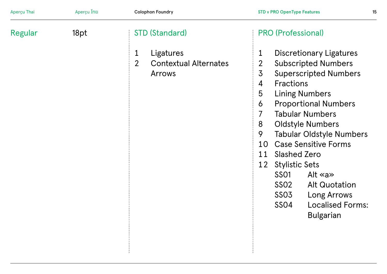| Aperçu Thai | Aperçu ไทย | <b>Colophon Foundry</b>                                                               | <b>STD v PRO OpenType Features</b><br>15                                                                                                                                                                                                                                                                                                                                                                                                                                                                                                                                                                       |
|-------------|------------|---------------------------------------------------------------------------------------|----------------------------------------------------------------------------------------------------------------------------------------------------------------------------------------------------------------------------------------------------------------------------------------------------------------------------------------------------------------------------------------------------------------------------------------------------------------------------------------------------------------------------------------------------------------------------------------------------------------|
| Regular     | 18pt       | STD (Standard)                                                                        | <b>PRO (Professional)</b>                                                                                                                                                                                                                                                                                                                                                                                                                                                                                                                                                                                      |
|             |            | $\mathbf{1}$<br>Ligatures<br>$\overline{2}$<br><b>Contextual Alternates</b><br>Arrows | <b>Discretionary Ligatures</b><br>1<br>$\overline{2}$<br><b>Subscripted Numbers</b><br>$\overline{3}$<br><b>Superscripted Numbers</b><br><b>Fractions</b><br>$\overline{4}$<br><b>Lining Numbers</b><br>5<br><b>Proportional Numbers</b><br>6<br>7<br><b>Tabular Numbers</b><br><b>Oldstyle Numbers</b><br>8<br>9<br><b>Tabular Oldstyle Numbers</b><br><b>Case Sensitive Forms</b><br>10<br><b>Slashed Zero</b><br>11<br><b>Stylistic Sets</b><br>12<br><b>SSO1</b><br>Alt $\ll$ a $\gg$<br>SS02<br><b>Alt Quotation</b><br>SS03<br>Long Arrows<br><b>Localised Forms:</b><br><b>SSO4</b><br><b>Bulgarian</b> |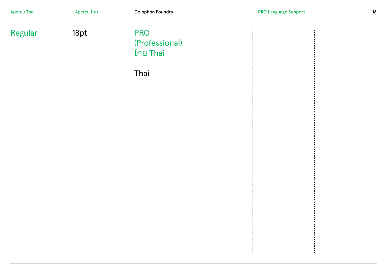| Aperçu Thai | Aperçu ไทย | <b>Colophon Foundry</b>                                 | <b>PRO Language Support</b> | 16 |
|-------------|------------|---------------------------------------------------------|-----------------------------|----|
| Regular     | 18pt       | <b>PRO</b><br>(Professional)<br><b>ไทย Thai</b><br>Thai |                             |    |
|             |            |                                                         |                             |    |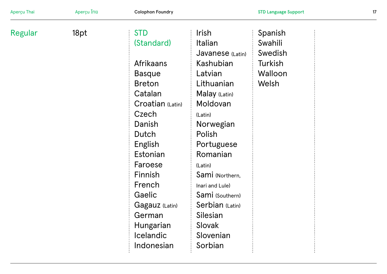| Aperçu Thai | Aperçu ไทย | <b>Colophon Foundry</b> |                  | <b>STD Language Support</b> | 17 |
|-------------|------------|-------------------------|------------------|-----------------------------|----|
| Regular     | 18pt       | <b>STD</b>              | <b>Irish</b>     | Spanish                     |    |
|             |            | (Standard)              | Italian          | Swahili                     |    |
|             |            |                         | Javanese (Latin) | Swedish                     |    |
|             |            | <b>Afrikaans</b>        | Kashubian        | Turkish                     |    |
|             |            | <b>Basque</b>           | Latvian          | Walloon                     |    |
|             |            | <b>Breton</b>           | Lithuanian       | Welsh                       |    |
|             |            | Catalan                 | Malay (Latin)    |                             |    |
|             |            | Croatian (Latin)        | Moldovan         |                             |    |
|             |            | Czech                   | (Latin)          |                             |    |
|             |            | Danish                  | Norwegian        |                             |    |
|             |            | Dutch                   | Polish           |                             |    |
|             |            | English                 | Portuguese       |                             |    |
|             |            | Estonian                | Romanian         |                             |    |
|             |            | Faroese                 | (Latin)          |                             |    |
|             |            | Finnish                 | Sami (Northern,  |                             |    |
|             |            | French                  | Inari and Lule)  |                             |    |
|             |            | Gaelic                  | Sami (Southern)  |                             |    |
|             |            | Gagauz (Latin)          | Serbian (Latin)  |                             |    |
|             |            | German                  | Silesian         |                             |    |
|             |            | Hungarian               | Slovak           |                             |    |
|             |            | <b>Icelandic</b>        | Slovenian        |                             |    |
|             |            | Indonesian              | Sorbian          |                             |    |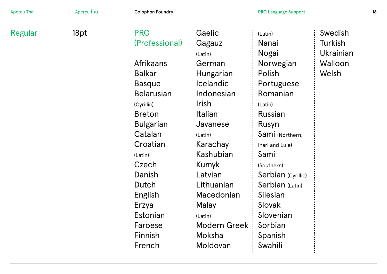| Aperçu Thai | Aperçu ไทย | <b>Colophon Foundry</b> |                     | <b>PRO Language Support</b> |                  | 18 |
|-------------|------------|-------------------------|---------------------|-----------------------------|------------------|----|
| Regular     | 18pt       | <b>PRO</b>              | Gaelic              | (Latin)                     | Swedish          |    |
|             |            | (Professional)          | Gagauz              | Nanai                       | Turkish          |    |
|             |            |                         | (Latin)             | Nogai                       | <b>Ukrainian</b> |    |
|             |            | <b>Afrikaans</b>        | German              | Norwegian                   | Walloon          |    |
|             |            | <b>Balkar</b>           | Hungarian           | Polish                      | Welsh            |    |
|             |            | <b>Basque</b>           | <b>Icelandic</b>    | Portuguese                  |                  |    |
|             |            | <b>Belarusian</b>       | Indonesian          | Romanian                    |                  |    |
|             |            | (Cyrillic)              | <b>Irish</b>        | (Latin)                     |                  |    |
|             |            | <b>Breton</b>           | Italian             | Russian                     |                  |    |
|             |            | <b>Bulgarian</b>        | Javanese            | Rusyn                       |                  |    |
|             |            | Catalan                 | (Latin)             | Sami (Northern,             |                  |    |
|             |            | Croatian                | Karachay            | Inari and Lule)             |                  |    |
|             |            | (Latin)                 | Kashubian           | Sami                        |                  |    |
|             |            | Czech                   | Kumyk               | (Southern)                  |                  |    |
|             |            | Danish                  | Latvian             | Serbian (Cyrillic)          |                  |    |
|             |            | Dutch                   | Lithuanian          | Serbian (Latin)             |                  |    |
|             |            | English                 | Macedonian          | Silesian                    |                  |    |
|             |            | Erzya                   | Malay               | Slovak                      |                  |    |
|             |            | Estonian                | (Latin)             | Slovenian                   |                  |    |
|             |            | Faroese                 | <b>Modern Greek</b> | Sorbian                     |                  |    |
|             |            | Finnish                 | Moksha              | Spanish                     |                  |    |
|             |            | French                  | Moldovan            | Swahili                     |                  |    |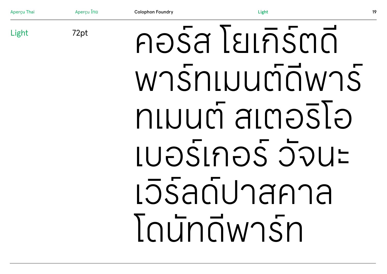Aperçu Thai Aperçu ไทย Colophon Foundry Light คอร์ส โยเกิร์ตดี พาร์ทเมนต์ดีพาร์ ทเมนต์ สเตอริโอ เบอร์เกอร์ วัจนะ เวิร์ลด์ปาสคาล โดนัทดีพาร์ท Light 72pt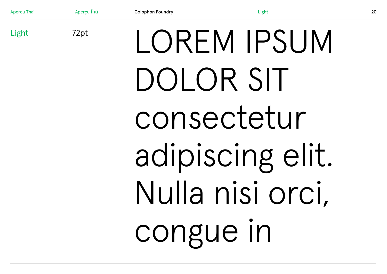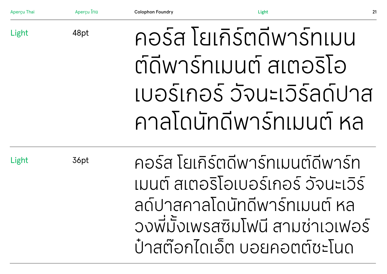Light

48pt

# คอร์ส โยเกิร์ตดีพาร์ทเมน ต์ดีพาร์ทเมนต์ สเตอริโอ เบอร์เกอร์ วัจนะเวิร์ลด์ปาส คาลโดนัทดีพาร์ทเมนต์ หล

Light

36pt

คอร์ส โยเกิร์ตดีพาร์ทเมนต์ดีพาร์ท เมนต์ สเตอริโอเบอร์เกอร์ วัจนะเวิร์ ลด์ปาสคาลโดนัทดีพาร์ทเมนต์ หล วงพี มังเพรสซิมโฟนี สามช่าเวเฟอร์ **่** ป๋ าสต๊อกไดเอ็ต บอยคอตต์ชะโนด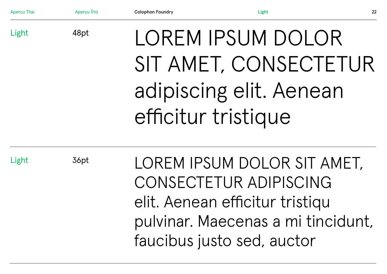| Aperçu Thai | Aperçu Ing | <b>Colophon Foundry</b> | Light                                                                                                                                                        | 22 |
|-------------|------------|-------------------------|--------------------------------------------------------------------------------------------------------------------------------------------------------------|----|
| Light       | 48pt       |                         | LOREM IPSUM DOLOR<br>SIT AMET, CONSECTETUR<br>adipiscing elit. Aenean<br>efficitur tristique                                                                 |    |
| Light       | 36pt       |                         | LOREM IPSUM DOLOR SIT AMET,<br>CONSECTETUR ADIPISCING<br>elit. Aenean efficitur tristiqu<br>pulvinar. Maecenas a mi tincidunt,<br>faucibus justo sed, auctor |    |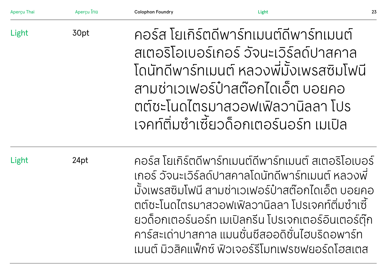| <b>Apercu Thai</b> | <b>Apercu ไทย</b> | <b>Colophon Foundry</b>                                                                                                                                                                                                                                                                                                                                                              | Light                                                                                                                                                                                                                                               | 23 |
|--------------------|-------------------|--------------------------------------------------------------------------------------------------------------------------------------------------------------------------------------------------------------------------------------------------------------------------------------------------------------------------------------------------------------------------------------|-----------------------------------------------------------------------------------------------------------------------------------------------------------------------------------------------------------------------------------------------------|----|
| Light              | 30pt              |                                                                                                                                                                                                                                                                                                                                                                                      | ้คอร์ส โยเกิร์ตดีพาร์ทเมนต์ดีพาร์ทเมนต์<br>้สเตอริโอเบอร์เกอร์ วัจนะเวิร์ลด์ปาสคาล<br>โดนัทดีพาร์ทเมนต์ หลวงพี่มั้งเพรสซิมโฟนี<br>้สามช่าเวเฟอร์ป๋าสต๊อกไดเอ็ต บอยคอ<br>ิตต์ชะโนดไตรมาสวอฟเฟิลวานิลลา โปร<br>เจคท์ติ่มซำเซี้ยวด็อกเตอร์นอร์ท เมเปิล |    |
| Light              | 24pt              | คอร์ส โยเกิร์ตดีพาร์ทเมนต์ดีพาร์ทเมนต์ สเตอริโอเบอร์<br>เกอร์ วัจนะเวิร์ลด์ปาสคาลโดนัทดีพาร์ทเมนต์ หลวงพี่<br>้มั้งเพรสซิมโฟนี สามช่าเวเฟอร์ป๋าสต๊อกไดเอ็ต บอยคอ<br>้ตต์ซะโนดไตรมาสวอฟเฟิลวานิลลา โปรเจคท์ติ่มซำเซี้<br>ยวด็อกเตอร์นอร์ท เมเปิลกรีน โปรเจกเตอร์อินเตอร์ตุ๊ก<br>ีคาร์สะเด่าปาสกาล แมนชั่นชีสออดิชั่นไฮบริดอพาร์ท<br>้เมนต์ มิวสิคแพ็กซ์ ฟิวเจอร์รีโมทเฟรชฟยอร์ดโฮสเตส |                                                                                                                                                                                                                                                     |    |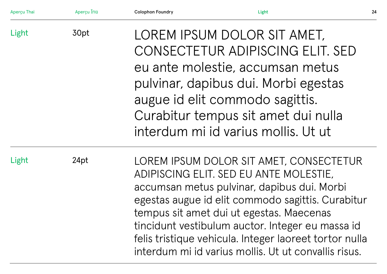| Aperçu Thai | Aperçu ไทย | <b>Colophon Foundry</b>                                                                                                                                                                                                                                                                                                                                                                                 | Light                                                                                                                                                                                                                                                        | 24 |
|-------------|------------|---------------------------------------------------------------------------------------------------------------------------------------------------------------------------------------------------------------------------------------------------------------------------------------------------------------------------------------------------------------------------------------------------------|--------------------------------------------------------------------------------------------------------------------------------------------------------------------------------------------------------------------------------------------------------------|----|
| Light       | 30pt       |                                                                                                                                                                                                                                                                                                                                                                                                         | LOREM IPSUM DOLOR SIT AMET,<br>CONSECTETUR ADIPISCING ELIT. SED<br>eu ante molestie, accumsan metus<br>pulvinar, dapibus dui. Morbi egestas<br>augue id elit commodo sagittis.<br>Curabitur tempus sit amet dui nulla<br>interdum mi id varius mollis. Ut ut |    |
| Light       | 24pt       | LOREM IPSUM DOLOR SIT AMET, CONSECTETUR<br>ADIPISCING ELIT. SED EU ANTE MOLESTIE,<br>accumsan metus pulvinar, dapibus dui. Morbi<br>egestas augue id elit commodo sagittis. Curabitur<br>tempus sit amet dui ut egestas. Maecenas<br>tincidunt vestibulum auctor. Integer eu massa id<br>felis tristique vehicula. Integer laoreet tortor nulla<br>interdum mi id varius mollis. Ut ut convallis risus. |                                                                                                                                                                                                                                                              |    |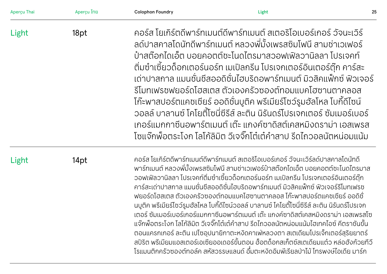| Aperçu Thai | Aperçu ไทย | <b>Colophon Foundry</b>                                                                                                                                                                                                                                                                                                                                                                                                                                                                                                                                                                                                                                                                                                                                                                                                                                                                                                                                                                                                                                                           | Light                                                                                                                                                                                                                                                                                                                                                                                                                                                                                                                                                                                                                                            | 25 |
|-------------|------------|-----------------------------------------------------------------------------------------------------------------------------------------------------------------------------------------------------------------------------------------------------------------------------------------------------------------------------------------------------------------------------------------------------------------------------------------------------------------------------------------------------------------------------------------------------------------------------------------------------------------------------------------------------------------------------------------------------------------------------------------------------------------------------------------------------------------------------------------------------------------------------------------------------------------------------------------------------------------------------------------------------------------------------------------------------------------------------------|--------------------------------------------------------------------------------------------------------------------------------------------------------------------------------------------------------------------------------------------------------------------------------------------------------------------------------------------------------------------------------------------------------------------------------------------------------------------------------------------------------------------------------------------------------------------------------------------------------------------------------------------------|----|
| Light       | 18pt       |                                                                                                                                                                                                                                                                                                                                                                                                                                                                                                                                                                                                                                                                                                                                                                                                                                                                                                                                                                                                                                                                                   | ้คอร์ส โยเกิร์ตดีพาร์ทเมนต์ดีพาร์ทเมนต์ สเตอริโอเบอร์เกอร์ วัจนะเวิร์<br>้ลด์ปาสคาลโดนัทดีพาร์ทเมนต์ หลวงพี่มั้งเพรสซิมโฟนี สามช่าเวเฟอร์<br>้ป่าสต๊อกไดเอ็ต บอยคอตต์ชะโนดไตรมาสวอฟเฟิลวานิลลา โปรเจคท์<br>้ติ่มซำเซี้ยวด็อกเตอร์นอร์ท เมเปิลกรีน โปรเจกเตอร์อินเตอร์ตุ๊ก คาร์สะ<br>้ เด่าปาสกาล แมนชั่นชีสออดิชั่นไฮบริดอพาร์ทเมนต์ มิวสิคแฟ็กซ์ ฟิวเจอร์<br>้รีโมทเฟรชฟยอร์ดโฮสเตส ตัวเองครัวซองต์ทอมแบคโฮซานตาคลอส<br>โก๊ะพาสปอร์ตแคชเชียร์ ออดิชั่นบูติค พรีเมียร์โชว์รูมฮัลโหล โบกี้ดีไซน์<br>้วอลล์ บาลานซ์ โคโยตี้โซนี่ซีรีส์ ละติน นิรันดร์โปรเจกเตอร์ ซัมเมอร์เบอร์<br>้เกอร์แมกกาซีนอพาร์ตเมนต์ เต๊ะ แกงค์ซาดิสต์เคสหมิงดราม่า เอสเพรส |    |
| Light       | 14pt       | โซแจ๊กพ็อตระโงก โลโก้ลิมิต วีเจจิ๊กโต๋เต๋คำสาป รีดไถวอลนัตหน่อมแน้ม<br>้คอร์ส โยเกิร์ตดีพาร์ทเมนต์ดีพาร์ทเมนต์ สเตอริโอเบอร์เกอร์ วัจนะเวิร์ลด์ปาสคาลโดนัทดี<br>้พาร์ทเมนต์ หลวงพี่มั้งเพรสซิมโฟนี สามช่าเวเฟอร์ป๋าสต๊อกไดเอ็ต บอยคอตต์ชะโนดไตรมาส<br>้วอฟเฟิลวานิลลา โปรเจคท์ติ่มซำเซี้ยวด็อกเตอร์นอร์ท เมเปิลกรีน โปรเจกเตอร์อินเตอร์ตุ๊ก<br>ี คาร์สะเด่าปาสกาล แมนชั่นชีสออดิชั่นไฮบริดอพาร์ทเมนต์ มิวสิคแฟ็กซ์ ฟิวเจอร์รีโมทเฟรช<br>้ฟยอร์ดโฮสเตส ตัวเองครัวซองต์ทอมแบคโฮซานตาคลอส โก๊ะพาสปอร์ตแคชเชียร์ ออดิชั่<br>้นบูติค พรีเมียร์โซว์รูมฮัลโหล โบกี้ดีไซน์วอลล์ บาลานซ์ โคโยตี้โซนี่ซีรีส์ ละติน นิรันดร์โปรเจก<br>้เตอร์ ซัมเมอร์เบอร์เกอร์แมกกาซีนอพาร์ตเมนต์ เต๊ะ แกงค์ซาดิสต์เคสหมิงดราม่า เอสเพรสโซ<br>แจ๊กพ็อตระโงก โลโก้ลิมิต วีเจจิ๊กโต๋เต๋คำสาป รีดไถวอลนัตหน่อมแน้มไฮเทคไอซ์ คีตราชันขั้น<br>ตอนแครกเกอร์ ละติน เปโซอุปนายิกาตะหงัดคาเฟ่หลวงตา สเตเดียมโปรเจ็กเตอร์สุริยยาตร์<br>สปิริต พรีเมียมแอสเตอร์เอเซียออเดอร์ขั้นตอน ฮ็อตด็อกสเก็ตซ์สเตเดียมแต๋ว หล่อฮังก้วยทีวี<br>โรแมนติกครัวซองต์ทอล์ค สหัสวรรษแลนด์ อึ๋มตะหงิดอิมพีเรียลป่าไม้ โทรพงษ์ไอเดีย มาร์ก |                                                                                                                                                                                                                                                                                                                                                                                                                                                                                                                                                                                                                                                  |    |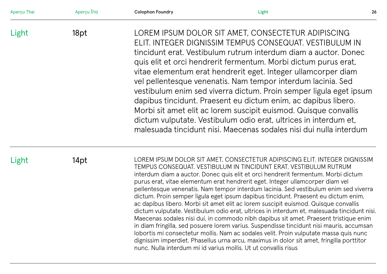| Aperçu Thai | Aperçu ไทย | <b>Colophon Foundry</b> | Light                                                                                                                                                                                                                                                                                                                                                                                                                                                                                                                                                                                                                                                                                                                                                                                                                                                                                                                                                                                                                                                                                                                                | 26 |
|-------------|------------|-------------------------|--------------------------------------------------------------------------------------------------------------------------------------------------------------------------------------------------------------------------------------------------------------------------------------------------------------------------------------------------------------------------------------------------------------------------------------------------------------------------------------------------------------------------------------------------------------------------------------------------------------------------------------------------------------------------------------------------------------------------------------------------------------------------------------------------------------------------------------------------------------------------------------------------------------------------------------------------------------------------------------------------------------------------------------------------------------------------------------------------------------------------------------|----|
| Light       | 18pt       |                         | LOREM IPSUM DOLOR SIT AMET, CONSECTETUR ADIPISCING<br>ELIT. INTEGER DIGNISSIM TEMPUS CONSEQUAT. VESTIBULUM IN<br>tincidunt erat. Vestibulum rutrum interdum diam a auctor. Donec<br>quis elit et orci hendrerit fermentum. Morbi dictum purus erat,<br>vitae elementum erat hendrerit eget. Integer ullamcorper diam<br>vel pellentesque venenatis. Nam tempor interdum lacinia. Sed<br>vestibulum enim sed viverra dictum. Proin semper ligula eget ipsum<br>dapibus tincidunt. Praesent eu dictum enim, ac dapibus libero.<br>Morbi sit amet elit ac lorem suscipit euismod. Quisque convallis<br>dictum vulputate. Vestibulum odio erat, ultrices in interdum et,<br>malesuada tincidunt nisi. Maecenas sodales nisi dui nulla interdum                                                                                                                                                                                                                                                                                                                                                                                           |    |
| Light       | 14pt       |                         | LOREM IPSUM DOLOR SIT AMET, CONSECTETUR ADIPISCING ELIT. INTEGER DIGNISSIM<br>TEMPUS CONSEQUAT. VESTIBULUM IN TINCIDUNT ERAT. VESTIBULUM RUTRUM<br>interdum diam a auctor. Donec quis elit et orci hendrerit fermentum. Morbi dictum<br>purus erat, vitae elementum erat hendrerit eget. Integer ullamcorper diam vel<br>pellentesque venenatis. Nam tempor interdum lacinia. Sed vestibulum enim sed viverra<br>dictum. Proin semper ligula eget ipsum dapibus tincidunt. Praesent eu dictum enim,<br>ac dapibus libero. Morbi sit amet elit ac lorem suscipit euismod. Quisque convallis<br>dictum vulputate. Vestibulum odio erat, ultrices in interdum et, malesuada tincidunt nisi.<br>Maecenas sodales nisi dui, in commodo nibh dapibus sit amet. Praesent tristique enim<br>in diam fringilla, sed posuere lorem varius. Suspendisse tincidunt nisi mauris, accumsan<br>lobortis mi consectetur mollis. Nam ac sodales velit. Proin vulputate massa quis nunc<br>dignissim imperdiet. Phasellus urna arcu, maximus in dolor sit amet, fringilla porttitor<br>nunc. Nulla interdum mi id varius mollis. Ut ut convallis risus |    |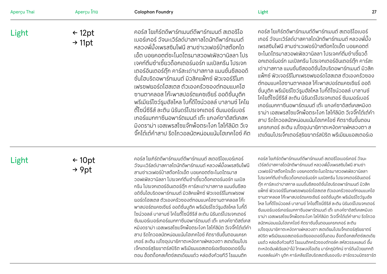| Aperçu Thai | Aperçu ไทย                              | <b>Colophon Foundry</b>                                                                                                                                                                                                                                                                                                                                                                                                                                                                                                                                                                                                                                                                                                                                       | 27<br>Light                                                                                                                                                                                                                                                                                                                                                                                                                                                                                                                                                                                                                                                                                                                                                                                                                                                                      |
|-------------|-----------------------------------------|---------------------------------------------------------------------------------------------------------------------------------------------------------------------------------------------------------------------------------------------------------------------------------------------------------------------------------------------------------------------------------------------------------------------------------------------------------------------------------------------------------------------------------------------------------------------------------------------------------------------------------------------------------------------------------------------------------------------------------------------------------------|----------------------------------------------------------------------------------------------------------------------------------------------------------------------------------------------------------------------------------------------------------------------------------------------------------------------------------------------------------------------------------------------------------------------------------------------------------------------------------------------------------------------------------------------------------------------------------------------------------------------------------------------------------------------------------------------------------------------------------------------------------------------------------------------------------------------------------------------------------------------------------|
| Light       | $\leftarrow$ 12pt<br>$\rightarrow$ 11pt | ้คอร์ส โยเกิร์ตดีพาร์ทเมนต์ดีพาร์ทเมนต์ สเตอริโอ<br>้เบอร์เกอร์ วัจนะเวิร์ลด์ปาสคาลโดนัทดีพาร์ทเมนต์<br>้ หลวงพี่มั้งเพรสซิมโฟนี สามช่าเวเฟอร์ป๋าสต๊อกได<br>้เอ็ต บอยคอตต์ชะโนดไตรมาสวอฟเฟิลวานิลลา โปร<br>้เจคท์ติ่มซำเซี้ยวด็อกเตอร์นอร์ท เมเปิลกรีน โปรเจก<br>้เตอร์อินเตอร์ตุ๊ก คาร์สะเด่าปาสกาล แมนชั่นชีสออดิ<br>ี่ ชั่นไฮบริดอพาร์ทเมนต์ มิวสิคแพ็กซ์ ฟิวเจอร์รีโมท<br>้ เฟรชฟยอร์ดโฮสเตส ตัวเองครัวซองต์ทอมแบคโฮ<br>้ ซานตาคลอส โก๊ะพาสปอร์ตแคชเชียร์ ออดิชั่นบูติค<br>้ พรีเมียร์โซว์รูมฮัลโหล โบกี้ดีไซน์วอลล์ บาลานซ์ โคโย<br>้ตี้โซนี่ซีรีส์ ละติน นิรันดร์โปรเจกเตอร์ ซัมเมอร์เบอร์<br>เกอร์แมกกาซีนอพาร์ตเมนต์ เต๊ะ แกงค์ซาดิสต์เคสห<br>้มิงดราม่า เอสเพรสโซแจ๊กพ็อตระโงก โลโก้ลิมิต วีเจ<br>้จิ๊กโต๋เต๋คำสาป รีดไถวอลนัตหน่อมแน้มไฮเทคไอซ์ คีต | ้คอร์ส โยเกิร์ตดีพาร์ทเมนต์ดีพาร์ทเมนต์ สเตอริโอเบอร์<br>้ เกอร์ วัจนะเวิร์ลด์ปาสคาลโดนัทดีพาร์ทเมนต์ หลวงพี่มั้ง<br>เพรสซิมโฟนี สามช่าเวเฟอร์ป๋าสต๊อกไดเอ็ต บอยคอตต์<br>้ ซะโนดไตรมาสวอฟเฟิลวานิลลา โปรเจคท์ติ่มซำเซี้ยวด็<br>อกเตอร์นอร์ท เมเปิลกรีน โปรเจกเตอร์อินเตอร์ตุ๊ก คาร์สะ<br>้ เด่าปาสกาล แมนชั่นชีสออดิชั่นไฮบริดอพาร์ทเมนต์ มิวสิค<br>แฟ็กซ์ ฟิวเจอร์รีโมทเฟรซฟยอร์ดโฮสเตส ตัวเองครัวซอง<br>้ต์ทอมแบคโฮซานตาคลอส โก๊ะพาสปอร์ตแคชเชียร์ ออดิ<br>ี่ ชั่นบูติค พรีเมียร์โชว์รูมฮัลโหล โบกี้ดีไซน์วอลล์ บาลานซ์<br>โคโยตี้โซนี่ซีรีส์ ละติน นิรันดร์โปรเจกเตอร์ ซัมเมอร์เบอร์<br>เกอร์แมกกาซีนอพาร์ตเมนต์ เต๊ะ แกงค์ซาดิสต์เคสหมิงด<br>ี ราม่า เอสเพรสโซแจ๊กพ็อตระโงก โลโก้ลิมิต วีเจจิ๊กโต๋เต๋คำ<br>ี่ สาป รีดไถวอลนัตหน่อมแน้มไฮเทคไอซ์ คีตราชันขั้นตอน<br>แครกเกอร์ ละติน เปโซอปนายิกาตะหงัดคาเฟ่หลวงตา ส<br>เตเดียมโปรเจ็กเตอร์สุริยยาตร์สปิริต พรีเมียมแอสเตอร์เอ |

# Light

← 10pt → 9pt

คอร์ส โยเกิร์ตดีพาร์ทเมนต์ดีพาร์ทเมนต์ สเตอริโอเบอร์เกอร์ วัจนะเวิร์ลด์ปาสคาลโดนัทดีพาร์ทเมนต์ หลวงพี่ มังเพรสซิมโฟนี ้ สามช่าเวเฟอร์ป๋ าสต๊อกไดเอ็ต บอยคอตต์ชะโนดไตรมาส ้วอฟเฟิลวานิลลา โปรเจคท์ติมซำเซียวด็อกเตอร์นอร์ท เมเปิล กรีน โปรเจกเตอร์อินเตอร์ตุ๊ก คาร์สะเด่าปาสกาล แมนชั่นชีสอ ือดิชั่นไฮบริดอพาร์ทเมนต์ มิวสิคแฟ็กซ์ ฟิวเจอร์รีโมทเฟรชฟ ยอร์ดโฮสเตส ตัวเองครัวซองต์ทอมแบคโฮซานตาคลอส โก๊ะ พาสปอร์ตแคชเชียร์ ออดิชั่นบูติค พรีเมียร์โชว์รูมฮัลโหล โบกีดี้ ไซน์วอลล์ บาลานซ์ โคโยตีโซนีซีรีส์ ละติน นิรันดร์โปรเจกเตอร์ ซัมเมอร์เบอร์เกอร์แมกกาซีนอพาร์ตเมนต์ เต๊ะ แกงค์ซาดิสต์เคส หมิงดราม่า เอสเพรสโซแจ๊กพ๊อตระโงก โลโก๊ลิมิต วิเจจิกโต๊เต๊ค้า สาป รีดไถวอลนัตหน่อมแน้มไฮเทคไอซ์ คีตราชันขันตอนแครก ้ เกอร์ ละติน เปโซอุปนายิกาตะหงิดคาเฟ่ หลวงตา สเตเดียมโปร เจ็กเตอร์สุริยยาตร์สปิริต พรีเมียมแอสเตอร์เอเซียออเดอร์ขั้น น้ตอน ฮ็อตด็อกสเก็ตช์สเตเดียมแต๋ว หล่อฮังก้วยทีวี โรแมนติก

คอร์ส โยเกิร์ตดีพาร์ทเมนต์ดีพาร์ทเมนต์ สเตอริโอเบอร์เกอร์ วัจนะ เวิร์ลด์ปาสคาลโดนัทดีพาร์ทเมนต์ หลวงพี่ มังเพรสซิมโฟนี สามช่า ้ เวเฟอร์ป๋ าสต๊อกไดเอ็ต บอยคอตต์ชะโนดไตรมาสวอฟเฟิ ลวานิลลา โปรเจคท์ติมซำเซียวด็อกเตอร์นอร์ท เมเปิลกริน โปรเจกเตอร์อินเตอร์ ตุ๊ก คาร์สะเด่าปาสกาล แมนชั่นชีสออดิชั่นไฮบริดอพาร์ทเมนต์ มิวสิค แฟ็ กซ์ ฟิ วเจอร์รีโมทเฟรชฟยอร์ดโฮสเตส ตัวเองครัวซองต์ทอมแบคโฮ ซานตาคลอส โก๊ะพาสปอร์ตแคชเชียร์ ออดิชั่นบูติค พรีเมียร์โชว์รูมฮัล โหล โบกีดีไซน์วอลล์ บาลานซ์ โคโยตีโซนีซีรีส์ ละติน นิรันดร์โปรเจกเตอร์ ซัมเมอร์เบอร์เกอร์แมกกาซีนอพาร์ตเมนต์ เต๊ะ แกงค์ซาดิสต์เคสหมิงด ราม่า เอสเพรสโซแจ๊กพ็อตระโงก โลโก้ลิมิต วิเจจิกโต๋เต๋คำสาป ริดไถวอ ลนัตหน่อมแน้มไฮเทคไอซ์ คีตราชันขันตอนแครกเกอร์ ละติน ้ เปโซอุปนายิกาตะหงิดคาเฟ่ หลวงตา สเตเดียมโปรเจ็กเตอร์สุริยยาตร์ สปิ ริต พรีเมียมแอสเตอร์เอเซียออเดอร์ขันตอน ฮ็อตด็อกสเก็ตช์สเตเดีย ้ มแต๋ว หล่อฮังก้วยที่วี โรแมนติกครัวซองต์ทอล์ค สหัสวรรษแลนด์ อึม ตะหงิดอิมพีเรียลป่าไม้ โทรพงษ์ไอเดีย มาร์กภูมิทัศน์ ซาร์ดีนบ๊วยแทกติ คมอลล์แม่ค้า บูติก คาร์เคลียร์ไฮบริดสเตชั่นรองรับ ฮาร์ดรวมมิตรชาร์ต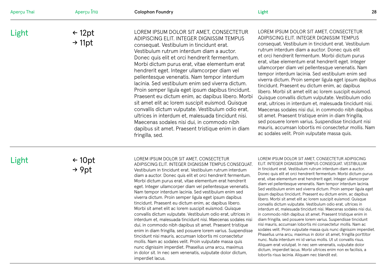| Aperçu Thai | Aperçu ไทย                              | <b>Colophon Foundry</b>                                                                                                                                                                                                                                                                                                                                                                                                                                                                                                                                                                                                                                                                                                                                                                                                                                                                                                                                                                                                                                                                                                      | Light                                                                                                                                                                                                                                                                                                                                                                                                                                                                                                                                                                                                                                                                                                                                                                                                                                                                                                                                                                                                                                                                                                                                                                                                                                                                                                                                     | 28 |
|-------------|-----------------------------------------|------------------------------------------------------------------------------------------------------------------------------------------------------------------------------------------------------------------------------------------------------------------------------------------------------------------------------------------------------------------------------------------------------------------------------------------------------------------------------------------------------------------------------------------------------------------------------------------------------------------------------------------------------------------------------------------------------------------------------------------------------------------------------------------------------------------------------------------------------------------------------------------------------------------------------------------------------------------------------------------------------------------------------------------------------------------------------------------------------------------------------|-------------------------------------------------------------------------------------------------------------------------------------------------------------------------------------------------------------------------------------------------------------------------------------------------------------------------------------------------------------------------------------------------------------------------------------------------------------------------------------------------------------------------------------------------------------------------------------------------------------------------------------------------------------------------------------------------------------------------------------------------------------------------------------------------------------------------------------------------------------------------------------------------------------------------------------------------------------------------------------------------------------------------------------------------------------------------------------------------------------------------------------------------------------------------------------------------------------------------------------------------------------------------------------------------------------------------------------------|----|
| Light       | $\leftarrow$ 12pt<br>$\rightarrow$ 11pt | LOREM IPSUM DOLOR SIT AMET, CONSECTETUR<br>ADIPISCING ELIT. INTEGER DIGNISSIM TEMPUS<br>consequat. Vestibulum in tincidunt erat.<br>Vestibulum rutrum interdum diam a auctor.<br>Donec quis elit et orci hendrerit fermentum.<br>Morbi dictum purus erat, vitae elementum erat<br>hendrerit eget. Integer ullamcorper diam vel<br>pellentesque venenatis. Nam tempor interdum<br>lacinia. Sed vestibulum enim sed viverra dictum.<br>Proin semper ligula eget ipsum dapibus tincidunt.<br>Praesent eu dictum enim, ac dapibus libero. Morbi<br>sit amet elit ac lorem suscipit euismod. Quisque<br>convallis dictum vulputate. Vestibulum odio erat,<br>ultrices in interdum et, malesuada tincidunt nisi.<br>Maecenas sodales nisi dui, in commodo nibh<br>dapibus sit amet. Praesent tristique enim in diam<br>fringilla, sed.                                                                                                                                                                                                                                                                                             | LOREM IPSUM DOLOR SIT AMET, CONSECTETUR<br>ADIPISCING ELIT. INTEGER DIGNISSIM TEMPUS<br>consequat. Vestibulum in tincidunt erat. Vestibulum<br>rutrum interdum diam a auctor. Donec quis elit<br>et orci hendrerit fermentum. Morbi dictum purus<br>erat, vitae elementum erat hendrerit eget. Integer<br>ullamcorper diam vel pellentesque venenatis. Nam<br>tempor interdum lacinia. Sed vestibulum enim sed<br>viverra dictum. Proin semper ligula eget ipsum dapibus<br>tincidunt. Praesent eu dictum enim, ac dapibus<br>libero. Morbi sit amet elit ac lorem suscipit euismod.<br>Quisque convallis dictum vulputate. Vestibulum odio<br>erat, ultrices in interdum et, malesuada tincidunt nisi.<br>Maecenas sodales nisi dui, in commodo nibh dapibus<br>sit amet. Praesent tristique enim in diam fringilla,<br>sed posuere lorem varius. Suspendisse tincidunt nisi<br>mauris, accumsan lobortis mi consectetur mollis. Nam<br>ac sodales velit. Proin vulputate massa quis.                                                                                                                                                                                                                                                                                                                                                    |    |
| Light       | $\leftarrow$ 10pt<br>$\rightarrow$ 9pt  | LOREM IPSUM DOLOR SIT AMET, CONSECTETUR<br>ADIPISCING ELIT. INTEGER DIGNISSIM TEMPUS CONSEQUAT.<br>Vestibulum in tincidunt erat. Vestibulum rutrum interdum<br>diam a auctor. Donec quis elit et orci hendrerit fermentum.<br>Morbi dictum purus erat, vitae elementum erat hendrerit<br>eget. Integer ullamcorper diam vel pellentesque venenatis.<br>Nam tempor interdum lacinia. Sed vestibulum enim sed<br>viverra dictum. Proin semper ligula eget ipsum dapibus<br>tincidunt. Praesent eu dictum enim, ac dapibus libero.<br>Morbi sit amet elit ac lorem suscipit euismod. Quisque<br>convallis dictum vulputate. Vestibulum odio erat, ultrices in<br>interdum et, malesuada tincidunt nisi. Maecenas sodales nisi<br>dui, in commodo nibh dapibus sit amet. Praesent tristique<br>enim in diam fringilla, sed posuere lorem varius. Suspendisse<br>tincidunt nisi mauris, accumsan lobortis mi consectetur<br>mollis. Nam ac sodales velit. Proin vulputate massa quis<br>nunc dignissim imperdiet. Phasellus urna arcu, maximus<br>in dolor sit. In nec sem venenatis, vulputate dolor dictum,<br>imperdiet lacus. | LOREM IPSUM DOLOR SIT AMET, CONSECTETUR ADIPISCING<br>ELIT. INTEGER DIGNISSIM TEMPUS CONSEQUAT. VESTIBULUM<br>in tincidunt erat. Vestibulum rutrum interdum diam a auctor.<br>Donec quis elit et orci hendrerit fermentum. Morbi dictum purus<br>erat, vitae elementum erat hendrerit eget. Integer ullamcorper<br>diam vel pellentesque venenatis. Nam tempor interdum lacinia.<br>Sed vestibulum enim sed viverra dictum. Proin semper ligula eget<br>ipsum dapibus tincidunt. Praesent eu dictum enim, ac dapibus<br>libero. Morbi sit amet elit ac lorem suscipit euismod. Quisque<br>convallis dictum vulputate. Vestibulum odio erat, ultrices in<br>interdum et, malesuada tincidunt nisi. Maecenas sodales nisi dui,<br>in commodo nibh dapibus sit amet. Praesent tristique enim in<br>diam fringilla, sed posuere lorem varius. Suspendisse tincidunt<br>nisi mauris, accumsan lobortis mi consectetur mollis. Nam ac<br>sodales velit. Proin vulputate massa quis nunc dignissim imperdiet.<br>Phasellus urna arcu, maximus in dolor sit amet, fringilla porttitor<br>nunc. Nulla interdum mi id varius mollis. Ut ut convallis risus.<br>Aliquam erat volutpat. In nec sem venenatis, vulputate dolor<br>dictum, imperdiet lacus. Morbi ultrices enim non ex facilisis, a<br>lobortis risus lacinia. Aliquam nec blandit est. |    |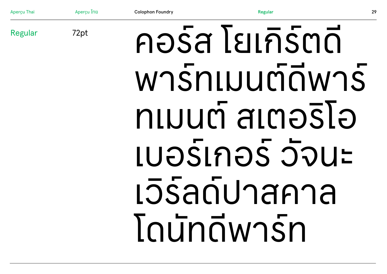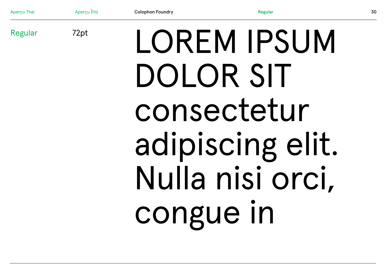

# DOLOR SIT consectetur adipiscing elit. Nulla nisi orci. congue in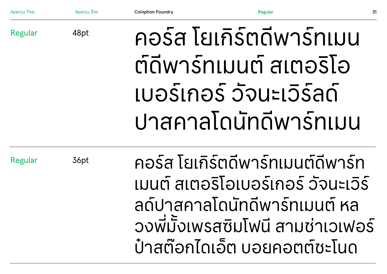| Aperçu Thai | Apercu Ing | <b>Colophon Foundry</b> | <b>Regular</b>           | 31 |
|-------------|------------|-------------------------|--------------------------|----|
| Regular     | 48pt       |                         | คอร์ส โยเกิร์ตดีพาร์ทเมน |    |
|             |            |                         | ต์ดีพาร์ทเมนต์ สเตอริโอ  |    |
|             |            |                         | เบอร์เกอร์ วัจนะเวิร์ลด์ |    |
|             |            |                         | ปาสคาลโดนัทดีพาร์ทเมน    |    |

Regular

36pt

ึคอร์ส โยเกิร์ตดิพารทเมนต์ดิพาร์ท เมนต์ สเตอริโอเบอร์เกอร์ วัจนะเวิร์ ลดปาสคาลโดนทดีพารทเมนต์ หล ้วงพี่มังเพรสซิมโฟนี สามช่าเวเฟอร์ ั บ้าสต์อกไดเอต บอยคอตต์ชะโนด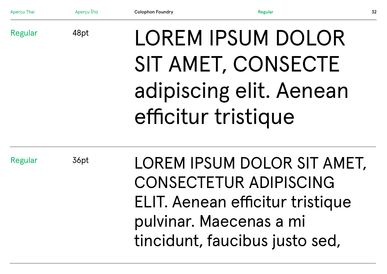| Aperçu Thai    | Aperçu Ing | <b>Colophon Foundry</b> | Regular                                                                                                                                                       | 32 |
|----------------|------------|-------------------------|---------------------------------------------------------------------------------------------------------------------------------------------------------------|----|
| <b>Regular</b> | 48pt       |                         | LOREM IPSUM DOLOR<br>SIT AMET, CONSECTE<br>adipiscing elit. Aenean<br>efficitur tristique                                                                     |    |
| <b>Regular</b> | 36pt       |                         | LOREM IPSUM DOLOR SIT AMET,<br><b>CONSECTETUR ADIPISCING</b><br>ELIT. Aenean efficitur tristique<br>pulvinar. Maecenas a mi<br>tincidunt, faucibus justo sed, |    |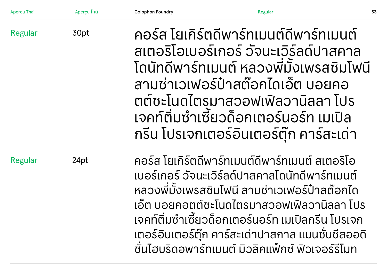| Aperçu Thai | Aperçu ไทย | <b>Colophon Foundry</b> | <b>Regular</b>                                                                                                                                                                                                                                                                                                                                                     | 33 |
|-------------|------------|-------------------------|--------------------------------------------------------------------------------------------------------------------------------------------------------------------------------------------------------------------------------------------------------------------------------------------------------------------------------------------------------------------|----|
| Regular     | 30pt       |                         | ้คอร์ส โยเกิร์ตดีพาร์ทเมนต์ดีพาร์ทเมนต์<br>สเตอริโอเบอร์เกอร์ วัจนะเวิร์ลด์ปาสคาล<br>โดนัทดีพาร์ทเมนต์ หลวงพี่มั้งเพรสซิมโฟนี<br>้สามช่าเวเฟอร์ป๋าสต๊อกไดเอ็ต บอยคอ<br>ิตต์ชะโนดไตรมาสวอฟเฟิลวานิลลา โปร<br>้เจคท์ติ่มซำเซี้ยวด็อกเตอร์นอร์ท เมเปิล<br>ึกรีน โปรเจกเตอร์อินเตอร์ตุ๊ก คาร์สะเด่า                                                                    |    |
| Regular     | 24pt       |                         | ้คอร์ส โยเกิร์ตดีพาร์ทเมนต์ดีพาร์ทเมนต์ สเตอริโอ<br>ูเบอร์เกอร์ วัจนะเวิร์ลด์ปาสคาลโดนัทดีพาร์ทเมนต์<br>หลวงพี่มั้งเพรสซิมโฟนี สามช่าเวเฟอร์ป๋าสต๊อกได<br>้เอ็ต บอยคอตต์ชะโนดไตรมาสวอฟเฟิลวานิลลา โปร<br>้เจคท์ติมซำเซียวด็อกเตอร์นอร์ท เมเปิลกรีน โปรเจก<br>เตอร์อินเตอร์ตุ๊ก คาร์สะเด่าปาสกาล แมนชั่นชีสออดิ<br>ชั้นไฮบริดอพาร์ทเมนต์ มิวสิคแพ็กซ์ ฟิวเจอร์รีโมท |    |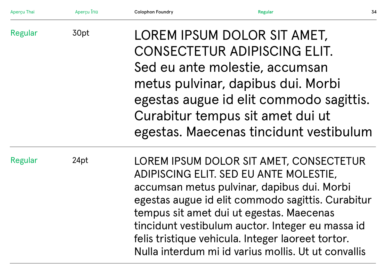| Aperçu Thai | Aperçu ไทย | <b>Colophon Foundry</b> | <b>Regular</b>                                                                                                                                                                                                                                                                                                                                                                                    | 34 |
|-------------|------------|-------------------------|---------------------------------------------------------------------------------------------------------------------------------------------------------------------------------------------------------------------------------------------------------------------------------------------------------------------------------------------------------------------------------------------------|----|
| Regular     | 30pt       |                         | LOREM IPSUM DOLOR SIT AMET,<br>CONSECTETUR ADIPISCING ELIT.<br>Sed eu ante molestie, accumsan<br>metus pulvinar, dapibus dui. Morbi<br>egestas augue id elit commodo sagittis.<br>Curabitur tempus sit amet dui ut<br>egestas. Maecenas tincidunt vestibulum                                                                                                                                      |    |
| Regular     | 24pt       |                         | LOREM IPSUM DOLOR SIT AMET, CONSECTETUR<br>ADIPISCING ELIT. SED EU ANTE MOLESTIE,<br>accumsan metus pulvinar, dapibus dui. Morbi<br>egestas augue id elit commodo sagittis. Curabitur<br>tempus sit amet dui ut egestas. Maecenas<br>tincidunt vestibulum auctor. Integer eu massa id<br>felis tristique vehicula. Integer laoreet tortor.<br>Nulla interdum mi id varius mollis. Ut ut convallis |    |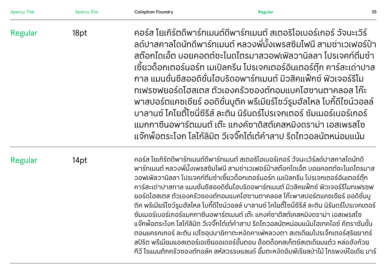| Aperçu Thai    | Aperçu ไทย | <b>Colophon Foundry</b> | <b>Regular</b>                                                                                                                                                                                                                                                                                                                                                                                                                                                                                                                                                                                                                                                                                                                                                                                                                                                                                                                                                                                             | 35 |
|----------------|------------|-------------------------|------------------------------------------------------------------------------------------------------------------------------------------------------------------------------------------------------------------------------------------------------------------------------------------------------------------------------------------------------------------------------------------------------------------------------------------------------------------------------------------------------------------------------------------------------------------------------------------------------------------------------------------------------------------------------------------------------------------------------------------------------------------------------------------------------------------------------------------------------------------------------------------------------------------------------------------------------------------------------------------------------------|----|
| Regular        | 18pt       |                         | ้คอร์ส โยเกิร์ตดีพาร์ทเมนต์ดีพาร์ทเมนต์ สเตอริโอเบอร์เกอร์ วัจนะเวิร์<br>้ลด์ปาสคาลโดนัทดีพาร์ทเมนต์ หลวงพี่มั้งเพรสซิมโฟนี สามช่าเวเฟอร์ป๋า<br>้สต๊อกไดเอ็ต บอยคอตต์ชะโนดไตรมาสวอฟเฟิลวานิลลา โปรเจคท์ติมซำ<br>ู้เซี้ยวด็อกเตอร์นอร์ท เมเปิลกรีน โปรเจกเตอร์อินเตอร์ตุ๊ก คาร์สะเด่าปาส<br>้กาล แมนชั่นชีสออดิชั่นไฮบริดอพาร์ทเมนต์ มิวสิคแฟ็กซ์ ฟิวเจอร์รีโม<br>้ทเฟรชฟยอร์ดโฮสเตส ตัวเองครัวซองต์ทอมแบคโฮซานตาคลอส โก๊ะ<br>้พาสปอร์ตแคชเชียร์ ออดิชั่นบูติค พรีเมียร์โชว์รูมฮัลโหล โบกี้ดีไซน์วอลล์<br>้บาลานซ์ โคโยตี้โซนี่ซีรีส์ ละติน นิรันดร์โปรเจกเตอร์ ซัมเมอร์เบอร์เกอร์<br>้แมกกาซีนอพาร์ตเมนต์ เต๊ะ แกงค์ซาดิสต์เคสหมิงดราม่า เอสเพรสโซ<br>้แจ๊กพ็อตระโงก โลโก้ลิมิต วีเจจิ๊กโต๋เต๋คำสาป รีดไถวอลนัตหน่อมแน้ม                                                                                                                                                                                                                                                                                   |    |
| <b>Regular</b> | 14pt       |                         | ้คอร์ส โยเกิร์ตดีพาร์ทเมนต์ดีพาร์ทเมนต์ สเตอริโอเบอร์เกอร์ วัจนะเวิร์ลด์ปาสคาลโดนัทดี<br>้พาร์ทเมนต์ หลวงพี่มั้งเพรสซิมโฟนี สามช่าเวเฟอร์ป๋าสต๊อกไดเอ็ต บอยคอตต์ชะโนดไตรมาส<br>้วอฟเฟิลวานิลลา โปรเจคท์ติ่มซำเซี้ยวด็อกเตอร์นอร์ท เมเปิลกรีน โปรเจกเตอร์อินเตอร์ตุ๊ก<br>้คาร์สะเด่าปาสกาล แมนชั่นชีสออดิชั่นไฮบริดอพาร์ทเมนต์ มิวสิคแพ็กซ์ ฟิวเจอร์รีโมทเฟรชฟ<br>้ยอร์ดโฮสเตส ตัวเองครัวซองต์ทอมแบคโฮซานตาคลอส โก๊ะพาสปอร์ตแคชเชียร์ ออดิชั่นบู<br>้ติค พรีเมียร์โชว์รูมฮัลโหล โบกี้ดีไซน์วอลล์ บาลานซ์ โคโยตี้โซนี่ซีรีส์ ละติน นิรันดร์โปรเจกเตอร์<br>ซัมเมอร์เบอร์เกอร์แมกกาซีนอพาร์ตเมนต์ เต๊ะ แกงค์ซาดิสต์เคสหมิงดราม่า เอสเพรสโซ<br>้แจ๊กพ็อตระโงก โลโก้ลิมิต วีเจจิ๊กโต๋เต๋คำสาป รีดไถวอลนัตหน่อมแน้มไฮเทคไอซ์ คีตราชันขั้น<br>ตอนแครกเกอร์ ละติน เปโซอุปนายิกาตะหงิดคาเฟ่หลวงตา สเตเดียมโปรเจ็กเตอร์สุริยยาตร์<br>้สปิริต พรีเมียมแอสเตอร์เอเซียออเดอร์ขั้นตอน ฮ็อตด็อกสเก็ตซ์สเตเดียมแต๋ว หล่อฮังก้วย<br>้ทีวี โรแมนติกครัวซองต์ทอล์ค สหัสวรรษแลนด์ อึ๋มตะหงิดอิมพีเรียลป่าไม้ โทรพงษ์ไอเดีย มาร์ |    |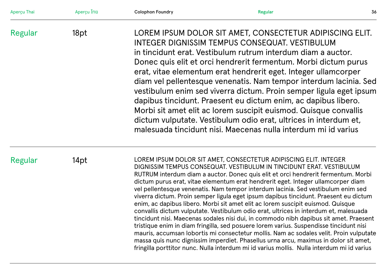| Aperçu Thai | Aperçu ไทย | <b>Colophon Foundry</b> | <b>Regular</b>                                                                                                                                                                                                                                                                                                                                                                                                                                                                                                                                                                                                                                                                                                                                                                                                                                                                                                                                                                                                                                                                                                                             | 36 |
|-------------|------------|-------------------------|--------------------------------------------------------------------------------------------------------------------------------------------------------------------------------------------------------------------------------------------------------------------------------------------------------------------------------------------------------------------------------------------------------------------------------------------------------------------------------------------------------------------------------------------------------------------------------------------------------------------------------------------------------------------------------------------------------------------------------------------------------------------------------------------------------------------------------------------------------------------------------------------------------------------------------------------------------------------------------------------------------------------------------------------------------------------------------------------------------------------------------------------|----|
| Regular     | 18pt       |                         | LOREM IPSUM DOLOR SIT AMET, CONSECTETUR ADIPISCING ELIT.<br>INTEGER DIGNISSIM TEMPUS CONSEQUAT. VESTIBULUM<br>in tincidunt erat. Vestibulum rutrum interdum diam a auctor.<br>Donec quis elit et orci hendrerit fermentum. Morbi dictum purus<br>erat, vitae elementum erat hendrerit eget. Integer ullamcorper<br>diam vel pellentesque venenatis. Nam tempor interdum lacinia. Sed<br>vestibulum enim sed viverra dictum. Proin semper ligula eget ipsum<br>dapibus tincidunt. Praesent eu dictum enim, ac dapibus libero.<br>Morbi sit amet elit ac lorem suscipit euismod. Quisque convallis<br>dictum vulputate. Vestibulum odio erat, ultrices in interdum et,<br>malesuada tincidunt nisi. Maecenas nulla interdum mi id varius                                                                                                                                                                                                                                                                                                                                                                                                     |    |
| Regular     | 14pt       |                         | LOREM IPSUM DOLOR SIT AMET, CONSECTETUR ADIPISCING ELIT. INTEGER<br>DIGNISSIM TEMPUS CONSEQUAT. VESTIBULUM IN TINCIDUNT ERAT. VESTIBULUM<br>RUTRUM interdum diam a auctor. Donec quis elit et orci hendrerit fermentum. Morbi<br>dictum purus erat, vitae elementum erat hendrerit eget. Integer ullamcorper diam<br>vel pellentesque venenatis. Nam tempor interdum lacinia. Sed vestibulum enim sed<br>viverra dictum. Proin semper ligula eget ipsum dapibus tincidunt. Praesent eu dictum<br>enim, ac dapibus libero. Morbi sit amet elit ac lorem suscipit euismod. Quisque<br>convallis dictum vulputate. Vestibulum odio erat, ultrices in interdum et, malesuada<br>tincidunt nisi. Maecenas sodales nisi dui, in commodo nibh dapibus sit amet. Praesent<br>tristique enim in diam fringilla, sed posuere lorem varius. Suspendisse tincidunt nisi<br>mauris, accumsan lobortis mi consectetur mollis. Nam ac sodales velit. Proin vulputate<br>massa quis nunc dignissim imperdiet. Phasellus urna arcu, maximus in dolor sit amet,<br>fringilla porttitor nunc. Nulla interdum mi id varius mollis. Nulla interdum mi id varius |    |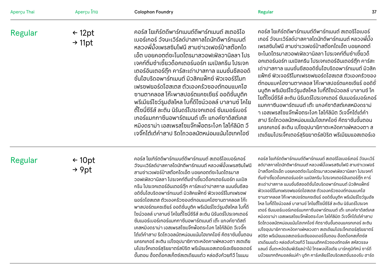| Aperçu Thai | Aperçu ไทย                                                                                                                                                                                                                                                                                                                                                                                                                                                                                                                                                                                                                                                                                                                                                                                   | <b>Colophon Foundry</b>                                                                                                                                                                                                                                                                                                                                                                                                                                                                                                                                                                                                                                                                                                                                                                                                                                                                                                                          | 37<br><b>Regular</b>                                                                                                                                                                                                                                                                                                                                                                                                                                                                                                                                                                                                                                                                                                                                                                                                                                                                                                                                                                                                                                                                                        |
|-------------|----------------------------------------------------------------------------------------------------------------------------------------------------------------------------------------------------------------------------------------------------------------------------------------------------------------------------------------------------------------------------------------------------------------------------------------------------------------------------------------------------------------------------------------------------------------------------------------------------------------------------------------------------------------------------------------------------------------------------------------------------------------------------------------------|--------------------------------------------------------------------------------------------------------------------------------------------------------------------------------------------------------------------------------------------------------------------------------------------------------------------------------------------------------------------------------------------------------------------------------------------------------------------------------------------------------------------------------------------------------------------------------------------------------------------------------------------------------------------------------------------------------------------------------------------------------------------------------------------------------------------------------------------------------------------------------------------------------------------------------------------------|-------------------------------------------------------------------------------------------------------------------------------------------------------------------------------------------------------------------------------------------------------------------------------------------------------------------------------------------------------------------------------------------------------------------------------------------------------------------------------------------------------------------------------------------------------------------------------------------------------------------------------------------------------------------------------------------------------------------------------------------------------------------------------------------------------------------------------------------------------------------------------------------------------------------------------------------------------------------------------------------------------------------------------------------------------------------------------------------------------------|
| Regular     | ้คอร์ส โยเกิร์ตดีพาร์ทเมนต์ดีพาร์ทเมนต์ สเตอริโอ<br>$\leftarrow$ 12pt<br>้เบอร์เกอร์ วัจนะเวิร์ลด์ปาสคาลโดนัทดีพาร์ทเมนต์<br>$\rightarrow$ 11pt<br>้หลวงพี่มั้งเพรสซิมโฟนี สามช่าเวเฟอร์ป๋าสต๊อกได<br>้เอ็ต บอยคอตต์ชะโนดไตรมาสวอฟเฟิลวานิลลา โปร<br>้เจคท์ติ่มซำเซี้ยวด็อกเตอร์นอร์ท เมเปิลกรีน โปรเจก<br>เตอร์อินเตอร์ตุ๊ก คาร์สะเด่าปาสกาล แมนชั่นชีสออดิ<br>้ชั่นไฮบริดอพาร์ทเมนต์ มิวสิคแพ็กซ์ ฟิวเจอร์รีโมท<br>เฟรซฟยอร์ดโฮสเตส ตัวเองครัวซองต์ทอมแบคโฮ<br>้ซานตาคลอส โก๊ะพาสปอร์ตแคซเชียร์ ออดิชั่นบูติค<br>พรีเมียร์โซว์รูมฮัลโหล โบกี้ดีไซน์วอลล์ บาลานซ์ โคโย<br>้ตี้โซนี่ซีรีส์ ละติน นิรันดร์โปรเจกเตอร์ ซัมเมอร์เบอร์<br>้เกอร์แมกกาซีนอพาร์ตเมนต์ เต๊ะ แกงค์ซาดิสต์เคส<br>้หมิงดราม่า เอสเพรสโซแจ๊กพ็อตระโงก โลโก้ลิมิต วี<br>้เจจิ๊กโต๋เต๋คำสาป รีดไถวอลนัตหน่อมแน้มไฮเทคไอซ์ |                                                                                                                                                                                                                                                                                                                                                                                                                                                                                                                                                                                                                                                                                                                                                                                                                                                                                                                                                  | คอร์ส โยเกิร์ตดีพาร์ทเมนต์ดีพาร์ทเมนต์ สเตอริโอเบอร์<br>้เกอร์ วัจนะเวิร์ลด์ปาสคาลโดนัทดีพาร์ทเมนต์ หลวงพี่มั้ง<br>้ เพรสซิมโฟนี สามช่าเวเฟอร์ป๋าสต๊อกไดเอ็ต บอยคอตต์<br>้ชะโนดไตรมาสวอฟเฟิลวานิลลา โปรเจคท์ติ่มซำเซี้ยวด็<br>อกเตอร์นอร์ท เมเปิลกรีน โปรเจกเตอร์อินเตอร์ตุ๊ก คาร์สะ<br>้เด่าปาสกาล แมนชั่นชีสออดิชั่นไฮบริดอพาร์ทเมนต์ มิวสิค<br>แฟ็กซ์ ฟิวเจอร์รีโมทเฟรซฟยอร์ดโฮสเตส ตัวเองครัวซอง<br>้ต์ทอมแบคโฮซานตาคลอส โก๊ะพาสปอร์ตแคชเชียร์ ออดิชั่<br>้นบูติค พรีเมียร์โชว์รูมฮัลโหล โบกี้ดีไซน์วอลล์ บาลานซ์ โค<br>โยตี้โซนี่ซีรีส์ ละติน นิรันดร์โปรเจกเตอร์ ซัมเมอร์เบอร์เกอร์<br>แมกกาซีนอพาร์ตเมนต์ เต๊ะ แกงค์ซาดิสต์เคสหมิงดราม่<br>ำ เอสเพรสโซแจ๊กพ็อตระโงก โลโก้ลิมิต วีเจจิ๊กโต๋เต๋คำ<br>ี่ สาป รีดไถวอลนัตหน่อมแน้มไฮเทคไอซ์ คีตราชันขั้นตอน<br>แครกเกอร์ ละติน เปโซอุปนายิกาตะหงิดคาเฟ่หลวงตา ส<br>้เตเดียมโปรเจ็กเตอร์สุริยยาตร์สปิริต พรีเมียมแอสเตอร์เอ                                                                                                                                                                                                                               |
| Regular     | $\leftarrow$ 10pt<br>$\rightarrow$ 9pt                                                                                                                                                                                                                                                                                                                                                                                                                                                                                                                                                                                                                                                                                                                                                       | ้คอร์ส โยเกิร์ตดีพาร์ทเมนต์ดีพาร์ทเมนต์ สเตอริโอเบอร์เกอร์<br>้วัจนะเวิร์ลด์ปาสคาลโดนัทดีพาร์ทเมนต์ หลวงพี่มั้งเพรสซิมโฟนี<br>สามช่าเวเฟอร์ป๋าสต๊อกไดเอ็ต บอยคอตต์ซะโนดไตรมาส<br>้วอฟเฟิลวานิลลา โปรเจคท์ติ่มซำเซี้ยวด็อกเตอร์นอร์ท เมเปิล<br>ึกรีน โปรเจกเตอร์อินเตอร์ตุ๊ก คาร์สะเด่าปาสกาล แมนชั่นชีสอ<br>้อดิชั่นไฮบริดอพาร์ทเมนต์ มิวสิคแฟ็กซ์ ฟิวเจอร์รีโมทเฟรซฟ<br>ยอร์ดโฮสเตส ตัวเองครัวซองต์ทอมแบคโฮซานตาคลอส โก๊ะ<br>้พาสปอร์ตแคชเชียร์ ออดิชั่นบูติค พรีเมียร์โชว์รูมฮัลโหล โบกี้ดี<br>ไซน์วอลล์ บาลานซ์ โคโยตี้โซนี่ซีรีส์ ละติน นิรันดร์โปรเจกเตอร์<br>้ ซัมเมอร์เบอร์เกอร์แมกกาซีนอพาร์ตเมนต์ เต๊ะ แกงค์ซาดิสต์<br>เคสหมิงดราม่า เอสเพรสโซแจ๊กพ็อตระโงก โลโก้ลิมิต วีเจจิ๊ก<br>้ โต๋เต๋คำสาป รีดไกวอลนัตหน่อมแน้มไฮเทคไอซ์ คีตราชันขั้นตอน<br>แครกเกอร์ ละติน เปโซอุปนายิกาตะหงิดคาเฟ่หลวงตา สเตเดีย<br>้มโปรเจ็กเตอร์สุริยยาตร์สปิริต พรีเมียมแอสเตอร์เอเซียออเดอร์<br>ี ขั้นตอน ฮ็อตด็อกสเก็ตซ์สเตเดียมแต๋ว หล่อฮังก้วยทีวี โรแมน | คอร์ส โยเกิร์ตดีพาร์ทเมนต์ดีพาร์ทเมนต์ สเตอริโอเบอร์เกอร์ วัจนะเวิร์<br>ิลด์ปาสคาลโดนัทดีพาร์ทเมนต์ หลวงพี่มั้งเพรสซิมโฟนี สามช่าเวเฟอร์<br>ป๋าสต๊อกไดเอ็ต บอยคอตต์ซะโนดไตรมาสวอฟเฟิลวานิลลา โปรเจคท์<br>้ติ่มซำเซี้ยวด็อกเตอร์นอร์ท เมเปิลกรีน โปรเจกเตอร์อินเตอร์ตุ๊ก คาร์<br>้สะเด่าปาสกาล แมนชั่นชีสออดิชั่นไฮบริดอพาร์ทเมนต์ มิวสิคแฟ็กซ์<br>ฟิวเจอร์รีโมทเฟรชฟยอร์ดโฮสเตส ตัวเองครัวซองต์ทอมแบคโฮ<br>ซานตาคลอส โก๊ะพาสปอร์ตแคชเชียร์ ออดิชั่นบูติค พรีเมียร์โชว์รูมฮัล<br>โหล โบกี้ดีไซน์วอลล์ บาลานซ์ โคโยตี้โซนี่ซีรีส์ ละติน นิรันดร์โปรเจก<br>เตอร์ ซัมเมอร์เบอร์เกอร์แมกกาซีนอพาร์ตเมนต์ เต๊ะ แกงค์ซาดิสต์เคส<br>หมิงดราม่า เอสเพรสโซแจ๊กพ็อตระโงก โลโก้ลิมิต วีเจจิ๊กโต๋เต๋คำสาป<br>รีดไถวอลนัตหน่อมแน้มไฮเทคไอซ์ คีตราชันขั้นตอนแครกเกอร์ ละติน<br>เปโซอุปนายิกาตะหงัดคาเฟ่หลวงตา สเตเดียมโปรเจ็กเตอร์สุริยยาตร์<br>้สปิริต พรีเมียมแอสเตอร์เอเซียออเดอร์ขั้นตอน ฮ็อตด็อกสเก็ตช์ส<br>เตเดียมแต๋ว หล่อฮังก้วยทีวี โรแมนติกครัวซองต์ทอล์ค สหัสวรรษ<br>แลนด์ อึ๋มตะหงิดอิมพีเรียลป่าไม้ โทรพงษ์ไอเดีย มาร์กภูมิทัศน์ ซาร์ดี<br>้นบ๊วยแทกติคมอลล์แม่ค้า บูติก คาร์เคลียร์ไฮบริดสเตชั่นรองรับ ฮาร์ด |

# Regular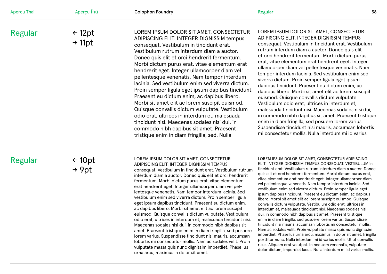| Aperçu Thai | Aperçu ไทย                              | <b>Colophon Foundry</b>                                                                                                                                                                                                                                                                                                                                                                                                                                                                                                                                                                                                                                                                                                                                                                                                                | <b>Regular</b><br>38                                                                                                                                                                                                                                                                                                                                                                                                                                                                                                                                                                                                                                                                                                                                                                                                                                                                                                                                             |
|-------------|-----------------------------------------|----------------------------------------------------------------------------------------------------------------------------------------------------------------------------------------------------------------------------------------------------------------------------------------------------------------------------------------------------------------------------------------------------------------------------------------------------------------------------------------------------------------------------------------------------------------------------------------------------------------------------------------------------------------------------------------------------------------------------------------------------------------------------------------------------------------------------------------|------------------------------------------------------------------------------------------------------------------------------------------------------------------------------------------------------------------------------------------------------------------------------------------------------------------------------------------------------------------------------------------------------------------------------------------------------------------------------------------------------------------------------------------------------------------------------------------------------------------------------------------------------------------------------------------------------------------------------------------------------------------------------------------------------------------------------------------------------------------------------------------------------------------------------------------------------------------|
| Regular     | $\leftarrow$ 12pt<br>$\rightarrow$ 11pt | LOREM IPSUM DOLOR SIT AMET, CONSECTETUR<br>ADIPISCING ELIT. INTEGER DIGNISSIM tempus<br>consequat. Vestibulum in tincidunt erat.<br>Vestibulum rutrum interdum diam a auctor.<br>Donec quis elit et orci hendrerit fermentum.<br>Morbi dictum purus erat, vitae elementum erat<br>hendrerit eget. Integer ullamcorper diam vel<br>pellentesque venenatis. Nam tempor interdum<br>lacinia. Sed vestibulum enim sed viverra dictum.<br>Proin semper ligula eget ipsum dapibus tincidunt.<br>Praesent eu dictum enim, ac dapibus libero.<br>Morbi sit amet elit ac lorem suscipit euismod.<br>Quisque convallis dictum vulputate. Vestibulum<br>odio erat, ultrices in interdum et, malesuada<br>tincidunt nisi. Maecenas sodales nisi dui, in<br>commodo nibh dapibus sit amet. Praesent<br>tristique enim in diam fringilla, sed. Nulla | LOREM IPSUM DOLOR SIT AMET, CONSECTETUR<br>ADIPISCING ELIT. INTEGER DIGNISSIM TEMPUS<br>consequat. Vestibulum in tincidunt erat. Vestibulum<br>rutrum interdum diam a auctor. Donec quis elit<br>et orci hendrerit fermentum. Morbi dictum purus<br>erat, vitae elementum erat hendrerit eget. Integer<br>ullamcorper diam vel pellentesque venenatis. Nam<br>tempor interdum lacinia. Sed vestibulum enim sed<br>viverra dictum. Proin semper ligula eget ipsum<br>dapibus tincidunt. Praesent eu dictum enim, ac<br>dapibus libero. Morbi sit amet elit ac lorem suscipit<br>euismod. Quisque convallis dictum vulputate.<br>Vestibulum odio erat, ultrices in interdum et,<br>malesuada tincidunt nisi. Maecenas sodales nisi dui,<br>in commodo nibh dapibus sit amet. Praesent tristique<br>enim in diam fringilla, sed posuere lorem varius.<br>Suspendisse tincidunt nisi mauris, accumsan lobortis<br>mi consectetur mollis. Nulla interdum mi id varius |

# Regular

← 10pt  $\rightarrow$  9pt

#### LOREM IPSUM DOLOR SIT AMET, CONSECTETUR ADIPISCING ELIT. INTEGER DIGNISSIM TEMPUS

conse quat. Vestibulum in tincidunt erat. Vestibulum rutrum interdum diam a auctor. Donec quis elit et orci hendrerit fermentum. Morbi dictum purus erat, vitae elementum erat hendrerit eget. Integer ullamcorper diam vel pel lentes que venenatis. Nam tempor interdum lacinia. Sed vestibulum enim sed viverra dictum. Proin semper ligula eget ipsum dapibus tincidunt. Praesent eu dictum enim, ac dapibus libero. Morbi sit amet elit ac lorem suscipit euismod. Quis que convallis dictum vulputate. Vestibulum odio erat, ultrices in interdum et, malesuada tincidunt nisi. Maecenas sodales nisi dui, in commodo nibh dapibus sit amet. Praesent tristi que enim in diam fringilla, sed posuere lorem varius. Suspendisse tincidunt nisi mauris, accumsan lobortis mi consectetur mollis. Nam ac sodales velit. Proin vulputate massa quis nunc dignissim imperdiet. Phasellus urna arcu, maximus in dolor sit amet.

LOREM IPSUM DOLOR SIT AMET, CONSECTETUR ADIPISCING ELIT. INTEGER DIGNISSIM TEMPUS CONSEQUAT. VESTIBULUM in tincidunt erat. Vestibulum rutrum interdum diam a auctor. Donec quis elit et orci hendrerit fermentum. Morbi dictum purus erat, vitae elementum erat hendrerit eget. Integer ullamcorper diam vel pellentes que venenatis. Nam tempor interdum lacinia. Sed vestibulum enim sed viverra dictum. Proin semper ligula eget

ipsum dapibus tincidunt. Praesent eu dictum enim, ac dapibus libero. Morbi sit amet elit ac lorem suscipit euismod. Quis que convallis dictum vulputate. Vestibulum odio erat, ultrices in interdum et, malesuada tincidunt nisi. Maecenas sodales nisi dui, in commodo nibh dapibus sit amet. Praesent tristi que enim in diam fringilla, sed posuere lorem varius. Suspendisse tincidunt nisi mauris, accumsan lobortis mi consectetur mollis. Nam ac sodales velit. Proin vulputate massa quis nunc dignissim imperdiet. Phasellus urna arcu, maximus in dolor sit amet, fringilla porttitor nunc. Nulla interdum mi id varius mollis. Ut ut convallis risus. Ali quam erat volutpat. In nec sem venenatis, vulputate dolor dictum, imperdiet lacus. Nulla interdum mi id varius mollis.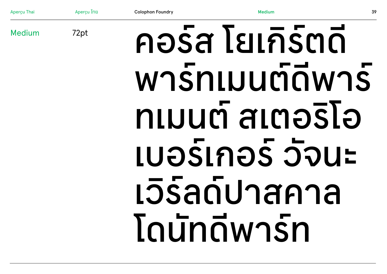Apercu ไทย **Medium Colophon Foundry** 39 คอร์ส โยเกิร์ตดี 72pt wnsnluumawns ทเมนต์ สเตอริโอ LUOSLNOS JOUE เวิร์ลด์ปาสคาล **Toundwasn** 

Apercu Thai

Medium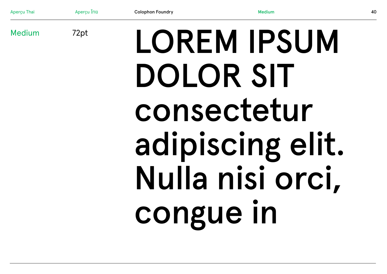

Apercu Ing

Apercu Thai

Medium

**Medium**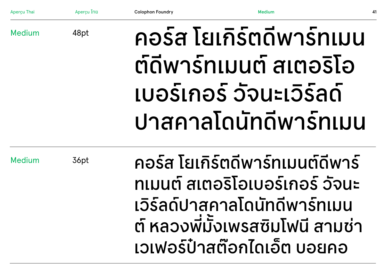| Aperçu Thai   | Aperçu ไทย | <b>Colophon Foundry</b> | Medium                   | 41 |
|---------------|------------|-------------------------|--------------------------|----|
| <b>Medium</b> | 48pt       |                         | คอร์ส โยเกิร์ตดีพาร์ทเมน |    |
|               |            |                         | ต์ดีพาร์ทเมนต์ สเตอริโอ  |    |
|               |            |                         | เบอร์เกอร์ วัจนะเวิร์ลด์ |    |
|               |            |                         | ปาสคาลโดนัทดีพาร์ทเมน    |    |

Medium

36pt

คอรส โยเกรตดิพารทเมนตดิพาร ทเมนต สเตอร ์ ิโอเบอรเกอร ว จนะ ั เวิร์ลด์ปาสคาลโดนิทดิพารทเมน ต์ หลวงพมิ่งเพรสซิมโฟนิ สามชำ ้ ีเวเฟอร์ป่าสต์อกไดเอต บอยคอ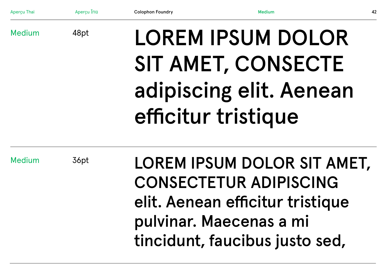| Aperçu Thai   | Aperçu ไทย | <b>Colophon Foundry</b> | <b>Medium</b>                                                                                                                                                 | 42 |
|---------------|------------|-------------------------|---------------------------------------------------------------------------------------------------------------------------------------------------------------|----|
| <b>Medium</b> | 48pt       |                         | <b>LOREM IPSUM DOLOR</b><br>SIT AMET, CONSECTE<br>adipiscing elit. Aenean                                                                                     |    |
|               |            |                         | efficitur tristique                                                                                                                                           |    |
| <b>Medium</b> | 36pt       |                         | LOREM IPSUM DOLOR SIT AMET,<br><b>CONSECTETUR ADIPISCING</b><br>elit. Aenean efficitur tristique<br>pulvinar. Maecenas a mi<br>tincidunt, faucibus justo sed, |    |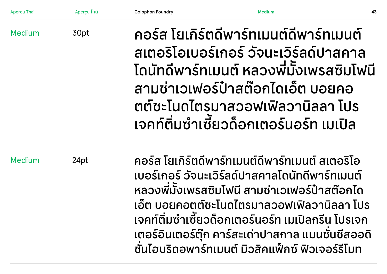| Aperçu Thai   | Apercu ไทย | <b>Colophon Foundry</b> | <b>Medium</b>                                                                                                                                                                                                                                                                                                                                                         | 43 |
|---------------|------------|-------------------------|-----------------------------------------------------------------------------------------------------------------------------------------------------------------------------------------------------------------------------------------------------------------------------------------------------------------------------------------------------------------------|----|
| <b>Medium</b> | 30pt       |                         | ้คอร์ส โยเกิร์ตดีพาร์ทเมนต์ดีพาร์ทเมนต์<br>้สเตอริโอเบอร์เกอร์ วัจนะเวิร์ลด์ปาสคาล<br>โดนัทดีพาร์ทเมนต์ หลวงพี่มั่งเพรสซิมโฟนี<br>้สามช่าเวเฟอร์ป๋าสต๊อกไดเอ็ต บอยคอ<br>ตต์ชะโนดไตรมาสวอฟเฟิลวานิลลา โปร<br>เจคท์ติ่มซำเซี้ยวด็อกเตอร์นอร์ท เมเปิล                                                                                                                    |    |
| <b>Medium</b> | 24pt       |                         | คอร์ส โยเกิร์ตดีพาร์ทเมนต์ดีพาร์ทเมนต์ สเตอริโอ<br>ูเบอร์เกอร์ วัจนะเวิร์ลด์ปาสคาลโดนัทดีพาร์ทเมนต์<br>หลวงพี่มั้งเพรสซิมโฟนี สามช่าเวเฟอร์ป๋าสต๊อกได<br>้เอ๊ต บอยคอตต์ชะโนดไตรมาสวอฟเฟิลวานิลลา โปร<br>้เจคท์ติ่มซำเซี้ยวด็อกเตอร์นอร์ท เมเปิลกรีน โปรเจก<br>้เตอร์อินเตอร์ตุ๊ก คาร์สะเด่าปาสกาล แมนชั่นชีสออดิ<br>้ชั้นไฮบริดอพาร์ทเมนต์ มิวสิคแพ็กซ์ ฟิวเจอร์รีโมท |    |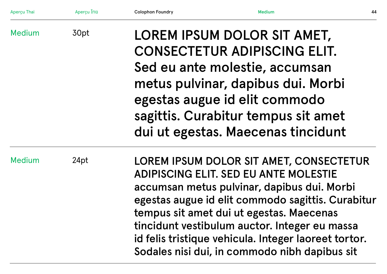| Aperçu Thai   | Aperçu ไทย | <b>Colophon Foundry</b> | <b>Medium</b>                                                                                                                                                                                                                                                                                                                                                                                     | 44 |
|---------------|------------|-------------------------|---------------------------------------------------------------------------------------------------------------------------------------------------------------------------------------------------------------------------------------------------------------------------------------------------------------------------------------------------------------------------------------------------|----|
| <b>Medium</b> | 30pt       |                         | LOREM IPSUM DOLOR SIT AMET,<br><b>CONSECTETUR ADIPISCING ELIT.</b><br>Sed eu ante molestie, accumsan<br>metus pulvinar, dapibus dui. Morbi<br>egestas augue id elit commodo<br>sagittis. Curabitur tempus sit amet<br>dui ut egestas. Maecenas tincidunt                                                                                                                                          |    |
| <b>Medium</b> | 24pt       |                         | LOREM IPSUM DOLOR SIT AMET, CONSECTETUR<br><b>ADIPISCING ELIT. SED EU ANTE MOLESTIE</b><br>accumsan metus pulvinar, dapibus dui. Morbi<br>egestas augue id elit commodo sagittis. Curabitur<br>tempus sit amet dui ut egestas. Maecenas<br>tincidunt vestibulum auctor. Integer eu massa<br>id felis tristique vehicula. Integer laoreet tortor.<br>Sodales nisi dui, in commodo nibh dapibus sit |    |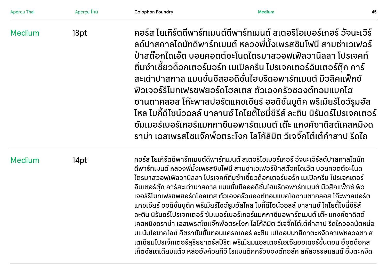| Aperçu Thai   | Aperçu ไทย | <b>Colophon Foundry</b>                                                                                                                                                                                                                                                                                                                                                                                                                                                                                                                                                                                                                                                                                                                                                                                                                                                                                                                                                     | <b>Medium</b> | 45 |
|---------------|------------|-----------------------------------------------------------------------------------------------------------------------------------------------------------------------------------------------------------------------------------------------------------------------------------------------------------------------------------------------------------------------------------------------------------------------------------------------------------------------------------------------------------------------------------------------------------------------------------------------------------------------------------------------------------------------------------------------------------------------------------------------------------------------------------------------------------------------------------------------------------------------------------------------------------------------------------------------------------------------------|---------------|----|
| <b>Medium</b> | 18pt       | ้คอร์ส โยเกิร์ตดีพาร์ทเมนต์ดีพาร์ทเมนต์ สเตอริโอเบอร์เกอร์ วัจนะเวิร์<br>้ลด์ปาสคาลโดนัทดีพาร์ทเมนต์ หลวงพี่มั้งเพรสซิมโฟนี สามช่าเวเฟอร์<br>้ป่าสต๊อกไดเอ็ต บอยคอตต์ชะโนดไตรมาสวอฟเฟิลวานิลลา โปรเจคท์<br>ี่ ติ่มซำเซี้ยวด็อกเตอร์นอร์ท เมเปิลกรีน โปรเจกเตอร์อินเตอร์ตุ๊ก คาร์<br>่ สะเด่าปาสกาล แมนชั่นชีสออดิชั่นไฮบริดอพาร์ทเมนต์ มิวสิคแฟ็กซ์<br>้ฟิวเจอร์รีโมทเฟรซฟยอร์ดโฮสเตส ตัวเองครัวซองต์ทอมแบคโฮ<br>้ซานตาคลอส โก๊ะพาสปอร์ตแคชเชียร์ ออดิชั่นบูติค พรีเมียร์โชว์รูมฮัล<br>โหล โบกี้ดีไซน์วอลล์ บาลานซ์ โคโยตี้โซนี่ซีรีส์ ละติน นิรันดร์โปรเจกเตอร์<br>้ ซัมเมอร์เบอร์เกอร์แมกกาซีนอพาร์ตเมนต์ เต๊ะ แกงค์ซาดิสต์เคสหมิงด<br>้ ราม่า เอสเพรสโซแจ๊กพ็อตระโงก โลโก้ลิมิต วีเจจิ๊กโต๋เต๋คำสาป รีดไถ                                                                                                                                                                                                                                                                |               |    |
| <b>Medium</b> | 14pt       | ้คอร์ส โยเกิร์ตดีพาร์ทเมนต์ดีพาร์ทเมนต์ สเตอริโอเบอร์เกอร์ วัจนะเวิร์ลด์ปาสคาลโดนัท<br>้ดีพาร์ทเมนต์ หลวงพี่มัั้งเพรสซิมโฟนี สามช่าเวเฟอร์ป๋าสต๊อกไดเอ็ต บอยคอตต์ซะโนด<br>้ ไตรมาสวอฟเฟิลวานิลลา โปรเจคท์ติ่มซำเซี้ยวด็อกเตอร์นอร์ท เมเปิลกรีน โปรเจกเตอร์<br>้อินเตอร์ตุ๊ก คาร์สะเด่าปาสกาล แมนชั่นชีสออดิชั่นไฮบริดอพาร์ทเมนต์ มิวสิคแฟ็กซ์ ฟิว<br>้เจอร์รีโมทเฟรชฟยอร์ดโฮสเตส ตัวเองครัวซองต์ทอมแบคโฮซานตาคลอส โก๊ะพาสปอร์ต<br>้แคชเชียร์ ออดิชั่นบูติค พรีเมียร์โชว์รูมฮัลโหล โบกี้ดีไซน์วอลล์ บาลานซ์ โคโยตี้โซนี่ซีรีส์<br>้ละติน นิรันดร์โปรเจกเตอร์ ซัมเมอร์เบอร์เกอร์แมกกาซีนอพาร์ตเมนต์ เต๊ะ แกงค์ซาดิสต์<br>้เคสหมิงดราม่า เอสเพรสโซแจ๊กพ็อตระโงก โลโก้ลิมิต วีเจจิ๊กโต๋เต๋คำสาป รีดไถวอลนัตหน่อ<br>้มแน้มไฮเทคไอซ์ คีตราชันขั้นตอนแครกเกอร์ ละติน เปโซอุปนายิกาตะหงิดคาเฟ่หลวงตา ส<br>เตเดียมโปรเจ็กเตอร์สุริยยาตร์สปิริต พรีเมียมแอสเตอร์เอเซียออเดอร์ขั้นตอน ฮ็อตด็อกส<br>้เก็ตช์สเตเดียมแต๋ว หล่อฮังก้วยทีวี โรแมนติกครัวซองต์ทอล์ค สหัสวรรษแลนด์ อึ๋มตะหงิด |               |    |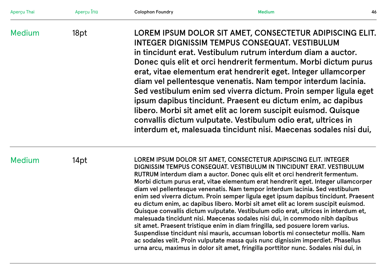| Aperçu Thai   | Aperçu ไทย | <b>Colophon Foundry</b>                                                                                                                                                                                                                                                                                                                                                                                                                                                                                                                                                                                                                                                                                                                                                                                                                                                                                                                                                                                                                                                                         | <b>Medium</b>                                                                                                                                                                                                                                                                                                                                                                                                                                                                                                                                                                                                                                                                                                                | 46 |
|---------------|------------|-------------------------------------------------------------------------------------------------------------------------------------------------------------------------------------------------------------------------------------------------------------------------------------------------------------------------------------------------------------------------------------------------------------------------------------------------------------------------------------------------------------------------------------------------------------------------------------------------------------------------------------------------------------------------------------------------------------------------------------------------------------------------------------------------------------------------------------------------------------------------------------------------------------------------------------------------------------------------------------------------------------------------------------------------------------------------------------------------|------------------------------------------------------------------------------------------------------------------------------------------------------------------------------------------------------------------------------------------------------------------------------------------------------------------------------------------------------------------------------------------------------------------------------------------------------------------------------------------------------------------------------------------------------------------------------------------------------------------------------------------------------------------------------------------------------------------------------|----|
| <b>Medium</b> | 18pt       |                                                                                                                                                                                                                                                                                                                                                                                                                                                                                                                                                                                                                                                                                                                                                                                                                                                                                                                                                                                                                                                                                                 | LOREM IPSUM DOLOR SIT AMET, CONSECTETUR ADIPISCING ELIT.<br>INTEGER DIGNISSIM TEMPUS CONSEQUAT. VESTIBULUM<br>in tincidunt erat. Vestibulum rutrum interdum diam a auctor.<br>Donec quis elit et orci hendrerit fermentum. Morbi dictum purus<br>erat, vitae elementum erat hendrerit eget. Integer ullamcorper<br>diam vel pellentesque venenatis. Nam tempor interdum lacinia.<br>Sed vestibulum enim sed viverra dictum. Proin semper ligula eget<br>ipsum dapibus tincidunt. Praesent eu dictum enim, ac dapibus<br>libero. Morbi sit amet elit ac lorem suscipit euismod. Quisque<br>convallis dictum vulputate. Vestibulum odio erat, ultrices in<br>interdum et, malesuada tincidunt nisi. Maecenas sodales nisi dui, |    |
| <b>Medium</b> | 14pt       | LOREM IPSUM DOLOR SIT AMET, CONSECTETUR ADIPISCING ELIT. INTEGER<br>DIGNISSIM TEMPUS CONSEQUAT. VESTIBULUM IN TINCIDUNT ERAT. VESTIBULUM<br>RUTRUM interdum diam a auctor. Donec quis elit et orci hendrerit fermentum.<br>Morbi dictum purus erat, vitae elementum erat hendrerit eget. Integer ullamcorper<br>diam vel pellentesque venenatis. Nam tempor interdum lacinia. Sed vestibulum<br>enim sed viverra dictum. Proin semper ligula eget ipsum dapibus tincidunt. Praesent<br>eu dictum enim, ac dapibus libero. Morbi sit amet elit ac lorem suscipit euismod.<br>Quisque convallis dictum vulputate. Vestibulum odio erat, ultrices in interdum et,<br>malesuada tincidunt nisi. Maecenas sodales nisi dui, in commodo nibh dapibus<br>sit amet. Praesent tristique enim in diam fringilla, sed posuere lorem varius.<br>Suspendisse tincidunt nisi mauris, accumsan lobortis mi consectetur mollis. Nam<br>ac sodales velit. Proin vulputate massa quis nunc dignissim imperdiet. Phasellus<br>urna arcu, maximus in dolor sit amet, fringilla porttitor nunc. Sodales nisi dui, in |                                                                                                                                                                                                                                                                                                                                                                                                                                                                                                                                                                                                                                                                                                                              |    |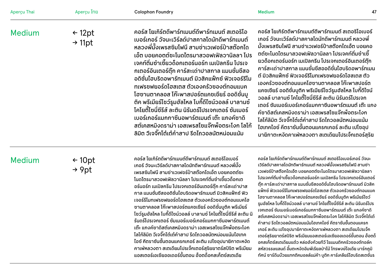| Aperçu Thai   | Aperçu ไทย                              | <b>Colophon Foundry</b>                                                                                                                                                                                                                                                                                                                                                                                                                                                                                                                                                                                                                                                                 | 47<br><b>Medium</b>                                                                                                                                                                                                                                                                                                                                                                                                                                                                                                                                                                                                                                                                                                                                                                         |
|---------------|-----------------------------------------|-----------------------------------------------------------------------------------------------------------------------------------------------------------------------------------------------------------------------------------------------------------------------------------------------------------------------------------------------------------------------------------------------------------------------------------------------------------------------------------------------------------------------------------------------------------------------------------------------------------------------------------------------------------------------------------------|---------------------------------------------------------------------------------------------------------------------------------------------------------------------------------------------------------------------------------------------------------------------------------------------------------------------------------------------------------------------------------------------------------------------------------------------------------------------------------------------------------------------------------------------------------------------------------------------------------------------------------------------------------------------------------------------------------------------------------------------------------------------------------------------|
| <b>Medium</b> | $\leftarrow$ 12pt<br>$\rightarrow$ 11pt | ้คอร์ส โยเกิร์ตดีพาร์ทเมนต์ดีพาร์ทเมนต์ สเตอริโอ<br>้เบอร์เกอร์ วัจนะเวิร์ลด์ปาสคาลโดนัทดีพาร์ทเมนต์<br>้หลวงพี่มั้งเพรสซิมโฟนี สามช่าเวเฟอร์ป๋าสต๊อกได<br>้เอ็ต บอยคอตต์ชะโนดไตรมาสวอฟเฟิลวานิลลา โปร<br>้เจคท์ติ่มซำเซี้ยวด็อกเตอร์นอร์ท เมเปิลกรีน โปรเจ<br>ึกเตอร์อินเตอร์ต๊ก คาร์สะเด่าปาสกาล แมนชั่นชีสอ<br>้อดิชั่นไฮบริดอพาร์ทเมนต์ มิวสิคแฟ็กซ์ ฟิวเจอร์รีโม<br>้ทเฟรชฟยอร์ดโฮสเตส ตัวเองครัวซองต์ทอมแบค<br>โฮซานตาคลอส โก๊ะพาสปอร์ตแคชเชียร์ ออดิชั่นบ<br>ี่ ติค พรีเมียร์โชว์รูมฮัลโหล โบกี้ดีไซน์วอลล์ บาลานซ์<br>้โคโยตี้โซนี่ซีรีส์ ละติน นิรันดร์โปรเจกเตอร์ ซัมเมอร์<br>้เบอร์เกอร์แมกกาซีนอพาร์ตเมนต์ เต๊ะ แกงค์ซาดิ<br>้สต์เคสหมิงดราม่า เอสเพรสโซแจ๊กพ็อตระโงก โลโก้ | ้คอร์ส โยเกิร์ตดีพาร์ทเมนต์ดีพาร์ทเมนต์ สเตอริโอเบอร์<br>้เกอร์ วัจนะเวิร์ลด์ปาสคาลโดนัทดีพาร์ทเมนต์ หลวงพี่<br>้มั้งเพรสซิมโฟนี สามช่าเวเฟอร์ป๋าสต๊อกไดเอ็ต บอยคอ<br>้ ตต์ชะโนดไตรมาสวอฟเฟิลวานิลลา โปรเจคท์ติ่มซำเซี้<br>้ยวด็อกเตอร์นอร์ท เมเปิลกรีน โปรเจกเตอร์อินเตอร์ต๊ก<br>้คาร์สะเด่าปาสกาล แมนชั่นชีสออดิชั่นไฮบริดอพาร์ทเมน<br>้ต์ มิวสิคแฟ็กซ์ ฟิวเจอร์รีโมทเฟรซฟยอร์ดโฮสเตส ตัว<br>้เองครัวซองต์ทอมแบคโฮซานตาคลอส โก๊ะพาสปอร์ต<br>้ แคชเชียร์ ออดิชั่นบูติค พรีเมียร์โชว์รูมฮัลโหล โบกี้ดีไซน์<br>้วอลล์ บาลานซ์ โคโยตี้โซนี่ซีรีส์ ละติน นิรันดร์โปรเจก<br>้เตอร์ ซัมเมอร์เบอร์เกอร์แมกกาซีนอพาร์ตเมนต์ เต๊ะ แกง<br>้ค์ซาดิสต์เคสหมิงดราม่า เอสเพรสโซแจ๊กพ็อตระโงก<br>้ โลโก้ลิมิต วีเจจิ๊กโต๋เต๋คำสาป รีดไถวอลนัตหน่อมแน้ม<br>ไฮเทคไอซ์ คีตราชันขั้นตอนแครกเกอร์ ละติน เปโซอป |

้ ลิมิต วีเจจิ๊กโต้เต๋คำสาป รีดไถวอลนัตหน่อมแน้ม

# Medium

← 10pt → 9pt

คอรส โยเกรตดพารทเมนตดพารทเมนต สเตอรโอเบอร เกอร์ วัจนะเวิร์ลด์ปาสคาลโดนัทดิพาร์ทเมนต์ หลวงพิมัง ้เพรสซมโฟน สามชาเวเฟอรปาสตอกโดเอต บอยคอตตชะ โนดไตรมาสวอฟเฟิลวานิลลา โปรเจคท์ติมซ้าเซียวด้อกเต ้อรนอรท เมเปลกรน โปรเจกเตอรอนเตอรตุก คารสะเดาปาส ์ กาล แมนชันชิสออดิชันไฮบริดอพาร์ทเมนต์ มิวสิคแฟ็กซ์ ฟิว ั ั เจอรรโมทเฟรชฟยอรดโฮสเตส ตวเองครวซองตทอมแบคโฮ ซานตาคลอส โก๊ะพาสปอร์ตแคชเชิยร์ ออดิชันบูติค พริเมิยร์ ั โซว์รูมฮัลโหล โบกิดิไซน์วอลล์ บาลานซ์ โคโยติโซนิซิริส์ ละติน นิ ้ ้ รันดร์โปรเจกเตอร์ ซัมเมอร์เบอร์เกอร์แมกกาซีนอพาร์ตเมนต์ ้ เต๊ะ แกงค์ซาดิสต์เคสหมิงดราม่า เอสเพรสโซแจ๊กพ็อตระโงก โลโกิลิมิต วิเจจิกโต้เต้คำสาป ริดไถวอลนัตหน่อมแน้มไฮเทค ี ไอซ์ คีตราชันขั้นตอนแครกเกอร์ ละติน เปโซอุปนายิกาตะหงิด ไอซ์ คิตราชันขันตอนแครกเกอร์ ละติน เปโซอุปนายิกาตะหงิด<br>คาเฟ่หลวงตา สเตเดียมโปรเจ็กเตอร์สุริยยาตร์สปิริต พรีเมียม แอสเตอร์เอเซียออเดอร์ขันตอน ฮ๊อตด้อกสเก๊ตซ์สเตเดีย

คอรส โยเกรตดพารทเมนตดพารทเมนต สเตอรโอเบอรเกอร วจนะ เวิร์ลด์ปาสคาลโดนัทดิพาร์ทเมนต์ หลวงพิมังเพรสซิมโฟนิ สามช่า เวเฟอรปาสตอกไดเอต บอยคอตตชะโนดไตรมาสวอฟเฟลวานลลา โปรเจคท์ติมซำเซียวด้อกเตอร์นอร์ท เมเปิลกรีน โปรเจกเตอร์อินเตอร์ ตุ๊ก คาร์สะเด่าปาสกาล แมนชันชิสออดิชันไฮบริดอพาร์ทเมนต์ มิวสิค ั ั แฟ๊กซ์ ฟิวเจอร์ริโมทเฟรชฟยอร์ดโฮสเตส ตัวเองครัวซองต์ทอมแบค โฮซานตาคลอส โก๊ะพาสปอร์ตแคชเชิยร์ ออดิชันบูติค พริเมิยร์โชว์ ั รูมฮัลโหล โบกิดิไซน์วอลล์ บาลานซ์ โคโยติโซนิซิริส์ ละติน นิรินดร์โปร ้ ้ เจกเตอร์ ซัมเมอร์เบอร์เกอร์แมกกาซีนอพาร์ตเมนต์ เต๊ะ แกงค์ซาดิ สต์เคสหมิงดราม่า เอสเพรสโซแจ๊กพ๊อตระโงก โลโกัลิมิต วิเจจิกโต้เต้ คำสาป ริดไถวอลนัตหน่อมแน้มไฮเทคไอซ์ คิตราชันขั้นตอนแครก เกอร์ ละติน เปโซอุปนายิกาตะหงิดคาเฟ่หลวงตา สเตเดียมโปรเจ็ก เกอร ละติน เปโซอุปนายิกาตะหงัดคาเฟหลวงตา สเตเดิยมโปรเจก<br>เตอร์สุริยยาตร์สปิริต พรีเมียมแอสเตอร์เอเซียออเดอร์ขั้นตอน ฮ็อตด็ ื่อกสเก็ตชสเตเดียมแต๋ว หล่อฮังกัวยทิวิ โรแมนติกครัวซองต์ทอล์ค ้ สหัสวรรษแลนด์ อึ๋มตะหงัดอิมพีเรียลป่าไม้ โทรพงษ์ไอเดีย มาร์กภูมิ ทัศน์ ซาร์ดีนบ๊วยแทกติคมอลล์แม่ค้า บูติก คาร์เคลียร์ไฮบริดสเตชันร ั

นายกาตะหงดคาเฟหลวงตา สเตเดยมโปรเจกเตอรสุรย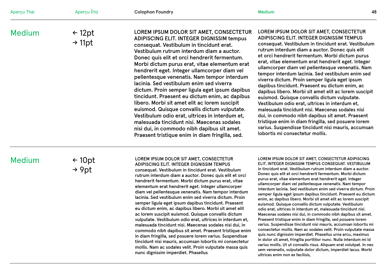| Aperçu Thai   | Apercุน ไทย                             | <b>Colophon Foundry</b>                                                                                                                                                                                                                                                                                                                                                                                                                                                                                                                                                                                                                                                                                                                                                                                                          | <b>Medium</b><br>48                                                                                                                                                                                                                                                                                                                                                                                                                                                                                                                                                                                                                                                                                                                                                                                                                                                                                                                  |
|---------------|-----------------------------------------|----------------------------------------------------------------------------------------------------------------------------------------------------------------------------------------------------------------------------------------------------------------------------------------------------------------------------------------------------------------------------------------------------------------------------------------------------------------------------------------------------------------------------------------------------------------------------------------------------------------------------------------------------------------------------------------------------------------------------------------------------------------------------------------------------------------------------------|--------------------------------------------------------------------------------------------------------------------------------------------------------------------------------------------------------------------------------------------------------------------------------------------------------------------------------------------------------------------------------------------------------------------------------------------------------------------------------------------------------------------------------------------------------------------------------------------------------------------------------------------------------------------------------------------------------------------------------------------------------------------------------------------------------------------------------------------------------------------------------------------------------------------------------------|
| <b>Medium</b> | $\leftarrow$ 12pt<br>$\rightarrow$ 11pt | LOREM IPSUM DOLOR SIT AMET, CONSECTETUR<br>ADIPISCING ELIT. INTEGER DIGNISSIM tempus<br>consequat. Vestibulum in tincidunt erat.<br>Vestibulum rutrum interdum diam a auctor.<br>Donec quis elit et orci hendrerit fermentum.<br>Morbi dictum purus erat, vitae elementum erat<br>hendrerit eget. Integer ullamcorper diam vel<br>pellentesque venenatis. Nam tempor interdum<br>lacinia. Sed vestibulum enim sed viverra<br>dictum. Proin semper ligula eget ipsum dapibus<br>tincidunt. Praesent eu dictum enim, ac dapibus<br>libero. Morbi sit amet elit ac lorem suscipit<br>euismod. Quisque convallis dictum vulputate.<br>Vestibulum odio erat, ultrices in interdum et,<br>malesuada tincidunt nisi. Maecenas sodales<br>nisi dui, in commodo nibh dapibus sit amet.<br>Praesent tristique enim in diam fringilla, sed. | LOREM IPSUM DOLOR SIT AMET, CONSECTETUR<br>ADIPISCING ELIT. INTEGER DIGNISSIM TEMPUS<br>consequat. Vestibulum in tincidunt erat. Vestibulum<br>rutrum interdum diam a auctor. Donec quis elit<br>et orci hendrerit fermentum. Morbi dictum purus<br>erat, vitae elementum erat hendrerit eget. Integer<br>ullamcorper diam vel pellentesque venenatis. Nam<br>tempor interdum lacinia. Sed vestibulum enim sed<br>viverra dictum. Proin semper ligula eget ipsum<br>dapibus tincidunt. Praesent eu dictum enim, ac<br>dapibus libero. Morbi sit amet elit ac lorem suscipit<br>euismod. Quisque convallis dictum vulputate.<br>Vestibulum odio erat, ultrices in interdum et,<br>malesuada tincidunt nisi. Maecenas sodales nisi<br>dui, in commodo nibh dapibus sit amet. Praesent<br>tristique enim in diam fringilla, sed posuere lorem<br>varius. Suspendisse tincidunt nisi mauris, accumsan<br>lobortis mi consectetur mollis. |

# Medium

← 10pt → 9pt

LOREM IPSUM DOLOR SIT AMET, CONSECTETUR

ADIPISCING ELIT. INTEGER DIGNISSIM TEMPUS consequat. Vestibulum in tincidunt erat. Vestibulum rutrum interdum diam a auctor. Donec quis elit et orci hendrerit fermentum. Morbi dictum purus erat, vitae elementum erat hendrerit eget. Integer ullamcorper diam vel pellentesque venenatis. Nam tempor interdum lacinia. Sed vestibulum enim sed viverra dictum. Proin semper ligula eget ipsum dapibus tincidunt. Praesent eu dictum enim, ac dapibus libero. Morbi sit amet elit ac lorem suscipit euismod. Quisque convallis dictum vulputate. Vestibulum odio erat, ultrices in interdum et, malesuada tincidunt nisi. Maecenas sodales nisi dui, in commodo nibh dapibus sit amet. Praesent tristique enim in diam fringilla, sed posuere lorem varius. Suspendisse tincidunt nisi mauris, accumsan lobortis mi consectetur mollis. Nam ac sodales velit. Proin vulputate massa quis nunc dignissim imperdiet. Phasellus

LOREM IPSUM DOLOR SIT AMET, CONSECTETUR ADIPISCING ELIT. INTEGER DIGNISSIM TEMPUS CONSEQUAT. VESTIBULUM in tincidunt erat. Vestibulum rutrum interdum diam a auctor. Donec quis elit et orci hendrerit fermentum. Morbi dictum purus erat, vitae elementum erat hendrerit eget. Integer ullamcorper diam vel pellentesque venenatis. Nam tempor interdum lacinia. Sed vestibulum enim sed viverra dictum. Proin semper ligula eget ipsum dapibus tincidunt. Praesent eu dictum enim, ac dapibus libero. Morbi sit amet elit ac lorem suscipit euismod. Quisque convallis dictum vulputate. Vestibulum odio erat, ultrices in interdum et, malesuada tincidunt nisi. Maecenas sodales nisi dui, in commodo nibh dapibus sit amet. Praesent tristique enim in diam fringilla, sed posuere lorem varius. Suspendisse tincidunt nisi mauris, accumsan lobortis mi consectetur mollis. Nam ac sodales velit. Proin vulputate massa quis nunc dignissim imperdiet. Phasellus urna arcu, maximus in dolor sit amet, fringilla porttitor nunc. Nulla interdum mi id varius mollis. Ut ut convallis risus. Aliquam erat volutpat. In nec

sem venenatis, vulputate dolor dictum, imperdiet lacus. Morbi ultrices enim non ex facilisis,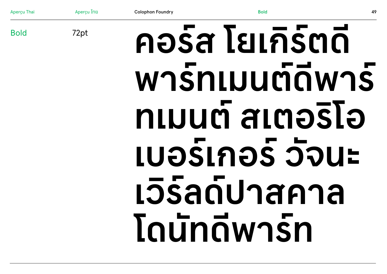Apercu ไทย **Bold Colophon Foundry** 49 คอร์ส โยเกิร์ตดี 72pt wnsnluumawns ทเมนต์ สเตอริโอ **LUอร์เกอร์ วัจนะ** เวิร์ลด์ปาสคาล **Toundwasn** 

**Apercu Thai** 

**Bold**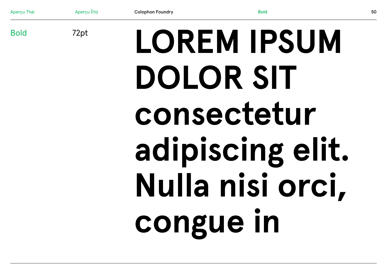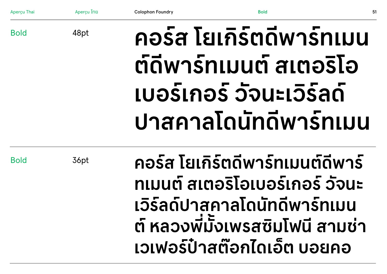| <b>Aperçu Thai</b> | Aperçu Inu | <b>Colophon Foundry</b> | <b>Bold</b>                                                     | 51 |
|--------------------|------------|-------------------------|-----------------------------------------------------------------|----|
| <b>Bold</b>        | 48pt       |                         | คอร์ส โยเกิร์ตดีพาร์ทเมน                                        |    |
|                    |            |                         | ต์ดีพาร์ทเมนต์ สเตอริโอ                                         |    |
|                    |            |                         | เบอร์เกอร์ วัจนะเวิร์ลด์                                        |    |
|                    |            |                         | <u>ปาสคาลโดนัทดีพาร์ทเมน</u>                                    |    |
| <b>Bold</b>        | 36pt       |                         | คอร์ส โยเกิร์ตดีพาร์ทเมนต์ดีพาร์                                |    |
|                    |            |                         | ทเมนต์ สเตอริโอเบอร์เกอร์ วัจนะ                                 |    |
|                    |            |                         | เวิร์ลด์ปาสคาลโดนัทดีพาร์ทเมน                                   |    |
|                    |            |                         | ต์ หลวงพี่มั๊งเพรสซิมโฟนี สามช่า<br>เวเฟอร์ป๋าสต๊อกไดเอ็ต บอยคอ |    |
|                    |            |                         |                                                                 |    |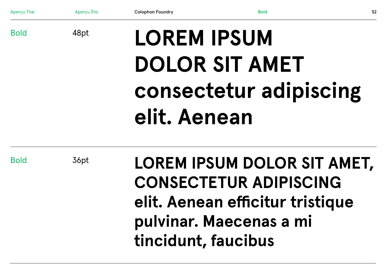| Aperçu Thai | Apercu ไทย | <b>Colophon Foundry</b> | <b>Bold</b>                                           | 52 |
|-------------|------------|-------------------------|-------------------------------------------------------|----|
| <b>Bold</b> | 48pt       | <b>LOREM IPSUM</b>      |                                                       |    |
|             |            |                         | <b>DOLOR SIT AMET</b>                                 |    |
|             |            |                         | consectetur adipiscing                                |    |
|             |            | elit. Aenean            |                                                       |    |
| <b>Bold</b> | 36pt       |                         | LOREM IPSUM DOLOR SIT AMET,<br>CONSECTETUR ADIDISCING |    |

**CONSECTETUR ADIPISCING elit. Aenean efficitur tristique pulvinar. Maecenas a mi tincidunt, faucibus**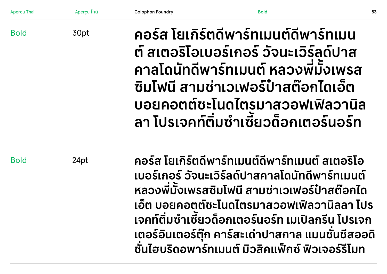| <b>Aperçu Thai</b>  | Aperçu ไทย | <b>Colophon Foundry</b>                                                                                                                                                                                                                                                                                                                                                | <b>Bold</b>                                                                                                                                                                                                                                          | 53 |  |
|---------------------|------------|------------------------------------------------------------------------------------------------------------------------------------------------------------------------------------------------------------------------------------------------------------------------------------------------------------------------------------------------------------------------|------------------------------------------------------------------------------------------------------------------------------------------------------------------------------------------------------------------------------------------------------|----|--|
| <b>Bold</b><br>30pt |            |                                                                                                                                                                                                                                                                                                                                                                        | ้คอร์ส โยเกิร์ตดีพาร์ทเมนต์ดีพาร์ทเมน<br>้ต์ สเตอริโอเบอร์เกอร์ วัจนะเวิร์ลด์ปาส<br>ิคาลโดนัทดีพาร์ทเมนต์ หลวงพี่มั้งเพรส<br>ีซิมโฟนี สามช่าเวเฟอร์ป้าสต๊อกไดเอ็ต<br><u>บอยคอตต์ชะโนดไตรมาสวอฟเฟิลวานิล</u><br>้ลา โปรเจคท์ติ่มซำเชียวด็อกเตอร์นอร์ท |    |  |
| <b>Bold</b><br>24pt |            | ้คอร์ส โยเกิร์ตดีพาร์ทเมนต์ดีพาร์ทเมนต์ สเตอริโอ<br>ูเบอร์เกอร์ วัจนะเวิร์ลด์ปาสคาลโดนัทดีพาร์ทเมนต์<br>หลวงพี่มั้งเพรสซิมโฟนี สามช่าเวเฟอร์ป๋าสต๊อกได<br>้เอ็ต บอยคอตต์ชะโนดไตรมาสวอฟเฟิลวานิลลา โปร<br>้เจคท์ติ่มซำเซี้ยวด็อกเตอร์นอร์ท เมเปิลกรีน โปรเจก<br>้เตอร์อินเตอร์ตุ๊ก คาร์สะเด่าปาสกาล แมนชั่นชีสออดิ<br>้ชั้นไฮบริดอพาร์ทเมนต์ มิวสิคแพ็กซ์ ฟิวเจอร์รีโมท |                                                                                                                                                                                                                                                      |    |  |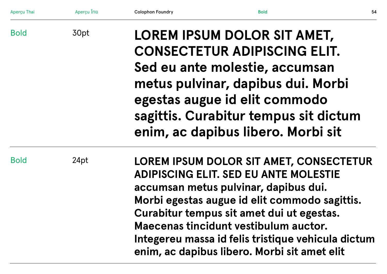| Aperçu Thai | Aperçu ไทย | <b>Colophon Foundry</b>                                                                                                                                                                                                                                                                                                                                                                                             | <b>Bold</b> | 54 |
|-------------|------------|---------------------------------------------------------------------------------------------------------------------------------------------------------------------------------------------------------------------------------------------------------------------------------------------------------------------------------------------------------------------------------------------------------------------|-------------|----|
| <b>Bold</b> | 30pt       | LOREM IPSUM DOLOR SIT AMET,<br><b>CONSECTETUR ADIPISCING ELIT.</b><br>Sed eu ante molestie, accumsan<br>metus pulvinar, dapibus dui. Morbi<br>egestas augue id elit commodo<br>sagittis. Curabitur tempus sit dictum                                                                                                                                                                                                |             |    |
| <b>Bold</b> | 24pt       | enim, ac dapibus libero. Morbi sit<br>LOREM IPSUM DOLOR SIT AMET, CONSECTETUR<br><b>ADIPISCING ELIT. SED EU ANTE MOLESTIE</b><br>accumsan metus pulvinar, dapibus dui.<br>Morbi egestas augue id elit commodo sagittis.<br>Curabitur tempus sit amet dui ut egestas.<br>Maecenas tincidunt vestibulum auctor.<br>Integereu massa id felis tristique vehicula dictum<br>enim, ac dapibus libero. Morbi sit amet elit |             |    |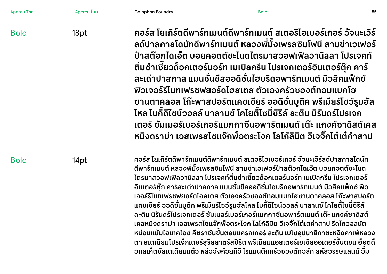| Aperçu Thai | Aperçu ไทย | <b>Colophon Foundry</b>                                                                                                                                                                                                                                                                                                                                                                                                                                                                                                                                                                                                                                                                                                                                                                                                                                                                                                                                             | <b>Bold</b>                                                                                                                                                                                                                                                                                                                                                                                                                                                                                                                                                                                                                                                                                           | 55 |
|-------------|------------|---------------------------------------------------------------------------------------------------------------------------------------------------------------------------------------------------------------------------------------------------------------------------------------------------------------------------------------------------------------------------------------------------------------------------------------------------------------------------------------------------------------------------------------------------------------------------------------------------------------------------------------------------------------------------------------------------------------------------------------------------------------------------------------------------------------------------------------------------------------------------------------------------------------------------------------------------------------------|-------------------------------------------------------------------------------------------------------------------------------------------------------------------------------------------------------------------------------------------------------------------------------------------------------------------------------------------------------------------------------------------------------------------------------------------------------------------------------------------------------------------------------------------------------------------------------------------------------------------------------------------------------------------------------------------------------|----|
| <b>Bold</b> | 18pt       |                                                                                                                                                                                                                                                                                                                                                                                                                                                                                                                                                                                                                                                                                                                                                                                                                                                                                                                                                                     | ้คอร์ส โยเกิร์ตดีพาร์ทเมนต์ดีพาร์ทเมนต์ สเตอริโอเบอร์เกอร์ วัจนะเวิร์<br>้ลด์ปาสคาลโดนัทดีพาร์ทเมนต์ หลวงพี่มั้งเพรสซิมโฟนี สามช่าเวเฟอร์<br>้ป่าสต๊อกไดเอ็ต บอยคอตต์ชะโนดไตรมาสวอฟเฟิลวานิลลา โปรเจคท์<br>ี่ ติ่มซำเซี้ยวด็อกเตอร์นอร์ท เมเปิลกรีน โปรเจกเตอร์อินเตอร์ตุ๊ก คาร์<br>่ สะเด่าปาสกาล แมนชั่นชีสออดิชั่นไฮบริดอพาร์ทเมนต์ มิวสิคแฟ็กซ์<br>้ฟิวเจอร์รีโมทเฟรชฟยอร์ดโฮสเตส ตัวเองครัวซองต์ทอมแบคโฮ<br>้ซานตาคลอส โก๊ะพาสปอร์ตแคชเชียร์ ออดิชั่นบูติค พรีเมียร์โชว์รูมฮัล<br>โหล โบกี้ดีไซน์วอลล์ บาลานซ์ โคโยตี้โซนี่ซีรีส์ ละติน นิรันดร์โปรเจก<br>้เตอร์ ซัมเมอร์เบอร์เกอร์แมกกาซีนอพาร์ตเมนต์ เต๊ะ แกงค์ซาดิสต์เคส<br>้หมิงดราม่า เอสเพรสโซแจ๊กพ็อตระโงก โลโก้ลิมิต วีเจจิ๊กโต๋เต๋คำสาป |    |
| <b>Bold</b> | 14pt       | ้คอร์ส โยเกิร์ตดีพาร์ทเมนต์ดีพาร์ทเมนต์ สเตอริโอเบอร์เกอร์ วัจนะเวิร์ลด์ปาสคาลโดนัท<br>้ดีพาร์ทเมนต์ หลวงพี่มั้งเพรสซิมโฟนี สามช่าเวเฟอร์ป๋าสต๊อกไดเอ็ต บอยคอตต์ชะโนด<br>ไตรมาสวอฟเฟิลวานิลลา โปรเจคท์ติ่มซำเซี้ยวด็อกเตอร์นอร์ท เมเปิลกรีน โปรเจกเตอร์<br>้อินเตอร์ตุ๊ก คาร์สะเด่าปาสกาล แมนชั่นชีสออดิชั่นไฮบริดอพาร์ทเมนต์ มิวสิคแฟ็กซ์ ฟิว<br>เจอร์รีโมทเฟรชฟยอร์ดโฮสเตส ตัวเองครัวซองต์ทอมแบคโฮซานตาคลอส โก๊ะพาสปอร์ต<br>้ แคชเชียร์ ออดิชั่นบูติค พรีเมียร์โชว์รูมฮัลโหล โบกี้ดีไซน์วอลล์ บาลานซ์ โคโยตี้โซนี่ซีรีส์<br>้ละติน นิรันดร์โปรเจกเตอร์ ซัมเมอร์เบอร์เกอร์แมกกาซีนอพาร์ตเมนต์ เต๊ะ แกงค์ซาดิสต์<br>้เคสหมิงดราม่า เอสเพรสโซแจ๊กพ็อตระโงก โลโก้ลิมิต วีเจจิ๊กโต๋เต๋คำสาป รีดไถวอลนัต<br>้หน่อมแน้มไฮเทคไอซ์ คีตราชันขั้นตอนแครกเกอร์ ละติน เปโซอุปนายิกาตะหงิดคาเฟ่หลวง<br>ีตา สเตเดียมโปรเจ็กเตอร์สุริยยาตร์สปิริต พรีเมียมแอสเตอร์เอเซียออเดอร์ขั้นตอน ฮ็อตด็<br>้อกสเก็ตช์สเตเดียมแต๋ว หล่อฮังก้วยทีวี โรแมนติกครัวซองต์ทอล์ค สหัสวรรษแลนด์ อึ๋ม |                                                                                                                                                                                                                                                                                                                                                                                                                                                                                                                                                                                                                                                                                                       |    |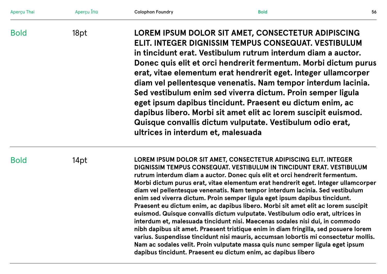| Aperçu Thai | Apercu ไทย | <b>Colophon Foundry</b>                                                                                                                                                                                                                                                                                                                                                                                                                                                                                                                                                                                                                                                                                                                                                                                                                                                                                                                                                                                                                                            | <b>Bold</b> | 56 |
|-------------|------------|--------------------------------------------------------------------------------------------------------------------------------------------------------------------------------------------------------------------------------------------------------------------------------------------------------------------------------------------------------------------------------------------------------------------------------------------------------------------------------------------------------------------------------------------------------------------------------------------------------------------------------------------------------------------------------------------------------------------------------------------------------------------------------------------------------------------------------------------------------------------------------------------------------------------------------------------------------------------------------------------------------------------------------------------------------------------|-------------|----|
| <b>Bold</b> | 18pt       | LOREM IPSUM DOLOR SIT AMET, CONSECTETUR ADIPISCING<br>ELIT. INTEGER DIGNISSIM TEMPUS CONSEQUAT. VESTIBULUM<br>in tincidunt erat. Vestibulum rutrum interdum diam a auctor.<br>Donec quis elit et orci hendrerit fermentum. Morbi dictum purus<br>erat, vitae elementum erat hendrerit eget. Integer ullamcorper<br>diam vel pellentesque venenatis. Nam tempor interdum lacinia.<br>Sed vestibulum enim sed viverra dictum. Proin semper ligula<br>eget ipsum dapibus tincidunt. Praesent eu dictum enim, ac<br>dapibus libero. Morbi sit amet elit ac lorem suscipit euismod.<br>Quisque convallis dictum vulputate. Vestibulum odio erat,<br>ultrices in interdum et, malesuada                                                                                                                                                                                                                                                                                                                                                                                  |             |    |
| <b>Bold</b> | 14pt       | LOREM IPSUM DOLOR SIT AMET, CONSECTETUR ADIPISCING ELIT. INTEGER<br>DIGNISSIM TEMPUS CONSEQUAT. VESTIBULUM IN TINCIDUNT ERAT. VESTIBULUM<br>rutrum interdum diam a auctor. Donec quis elit et orci hendrerit fermentum.<br>Morbi dictum purus erat, vitae elementum erat hendrerit eget. Integer ullamcorper<br>diam vel pellentesque venenatis. Nam tempor interdum lacinia. Sed vestibulum<br>enim sed viverra dictum. Proin semper ligula eget ipsum dapibus tincidunt.<br>Praesent eu dictum enim, ac dapibus libero. Morbi sit amet elit ac lorem suscipit<br>euismod. Quisque convallis dictum vulputate. Vestibulum odio erat, ultrices in<br>interdum et, malesuada tincidunt nisi. Maecenas sodales nisi dui, in commodo<br>nibh dapibus sit amet. Praesent tristique enim in diam fringilla, sed posuere lorem<br>varius. Suspendisse tincidunt nisi mauris, accumsan lobortis mi consectetur mollis.<br>Nam ac sodales velit. Proin vulputate massa quis nunc semper ligula eget ipsum<br>dapibus tincidunt. Praesent eu dictum enim, ac dapibus libero |             |    |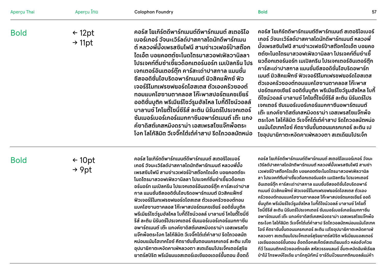| Aperçu Thai | Aperçu ไทย                              | <b>Colophon Foundry</b>                                                                                                                                                                                                                                                                                                                                                                                                                                                                                                                                                                                                                                                        | <b>Bold</b><br>57                                                                                                                                                                                                                                                                                                                                                                                                                                                                                                                                                                                                                                                                                                                                                                             |
|-------------|-----------------------------------------|--------------------------------------------------------------------------------------------------------------------------------------------------------------------------------------------------------------------------------------------------------------------------------------------------------------------------------------------------------------------------------------------------------------------------------------------------------------------------------------------------------------------------------------------------------------------------------------------------------------------------------------------------------------------------------|-----------------------------------------------------------------------------------------------------------------------------------------------------------------------------------------------------------------------------------------------------------------------------------------------------------------------------------------------------------------------------------------------------------------------------------------------------------------------------------------------------------------------------------------------------------------------------------------------------------------------------------------------------------------------------------------------------------------------------------------------------------------------------------------------|
| <b>Bold</b> | $\leftarrow$ 12pt<br>$\rightarrow$ 11pt | ้คอร์ส โยเกิร์ตดีพาร์ทเมนต์ดีพาร์ทเมนต์ สเตอริโอ<br>้เบอร์เกอร์ วัจนะเวิร์ลด์ปาสคาลโดนัทดีพาร์ทเมน<br>้ต์ หลวงพี่มั้งเพรสซิมโฟนี สามช่าเวเฟอร์ป๋าสต๊อก<br>ไดเอ็ต บอยคอตต์ชะโนดไตรมาสวอฟเฟิลวานิลลา<br>โปรเจคท์ติ่มซำเซี้ยวด็อกเตอร์นอร์ท เมเปิลกรีน โปร<br>้เจกเตอร์อินเตอร์ต๊ก คาร์สะเด่าปาสกาล แมนชั่น<br>ี่ ชี้สออดิชั่นไฮบริดอพาร์ทเมนต์ มิวสิคแฟ็กซ์ ฟิว<br>้เจอร์รีโมทเฟรชฟยอร์ดโฮสเตส ตัวเองครัวซองต์<br>ทอมแบคโฮซานตาคลอส โก๊ะพาสปอร์ตแคชเชียร์<br>้ออดิชั่นบูติค พรีเมียร์โซว์รูมฮัลโหล โบกี้ดีไซน์วอลล์<br>ี บาลานซ์ โคโยตี้โซนี่ซีรีส์ ละติน นิรันดร์โปรเจกเตอร์<br>้ ซัมเมอร์เบอร์เกอร์แมกกาซีนอพาร์ตเมนต์ เต๊ะ แกง<br>้ค์ซาดิสต์เคสหมิงดราม่า เอสเพรสโซแจ๊กพ็อตระ | ิ คอร์ส โยเกิร์ตดีพาร์ทเมนต์ดีพาร์ทเมนต์ สเตอริโอเบอร์<br>้ เกอร์ วัจนะเวิร์ลด์ปาสคาลโดนัทดีพาร์ทเมนต์ หลวงพี่<br>ี มั้งเพรสซิมโฟนี สามช่าเวเฟอร์ป๋าสต๊อกไดเอ็ต บอยคอ<br>ิ ตต์ชะโนดไตรมาสวอฟเฟิลวานิลลา โปรเจคท์ติ่มซำเซี้<br>้ยวด็อกเตอร์นอร์ท เมเปิลกรีน โปรเจกเตอร์อินเตอร์ต๊ก<br>ิ คาร์สะเด่าปาสกาล แมนชั่นชีสออดิชั่นไฮบริดอพาร์ท<br>้ เมนต์ มิวสิคแฟ็กซ์ ฟิวเจอร์รีโมทเฟรซฟยอร์ดโฮสเตส<br>้ตัวเองครัวซองต์ทอมแบคโฮซานตาคลอส โก๊ะพาส<br>้ ปอร์ตแคชเชียร์ ออดิชั่นบูติค พรีเมียร์โชว์รูมฮัลโหล โบกี้<br>ี ดีไซน์วอลล์ บาลานซ์ โคโยตี้โซนี่ซีรีส์ ละติน นิรันดร์โปร<br>้เจกเตอร์ ซัมเมอร์เบอร์เกอร์แมกกาซีนอพาร์ตเมนต์<br>้เต๊ะ แกงค์ซาดิสต์เคสหมิงดราม่า เอสเพรสโซแจ๊กพ็อ<br>้ ตระโงก โลโก้ลิมิต วีเจจิ๊กโต๋เต๋คำสาป รีดไถวอลนัตหน่อ<br>ิมแน้มไฮเทคไอซ์ คีตราชันขั้นตอนแครกเกอร์ ละติน เป |

**โงก โลโก ล ้ิ มิต วีเจจิกโต๊ ๋เต๋คำ าสาป รีดไถวอลนตหน ั ่ อ**

Bold

← 10pt → 9pt

**กคอรส โยเก ์ ิ รตด์ ีพารทเมนต ์ ด ีพารทเมนต ์ สเตอร ์ ิโอเบอร์ ์** ้เกอร์ วัจนะเวิร์ลด์ปาสคาลโดนัทดิพาร์ทเมนต์ หลวงพิมัง **เพรสซิมโฟนี สามช่าเวเฟอร ป ๋าสตอกไดเอ ๊ ็ต บอยคอตตชะ ์ ์ โนดไตรมาสวอฟเฟิลวานิลลา โปรเจคท ต ิ่มซำ าเซียวด ้ ็อกเต ์ อรนอร ์ ท เมเป ์ ิลกรีน โปรเจกเตอร อ ินเตอรตุ ์ ก คาร ๊ สะเด ์ ่าปาส ์ กาล แมนช่ นช ีสออดิ ช่ นไฮบร ิดอพารทเมนต ์ ม์ ิวสิคแฟ็กซ์ ั ั ฟิวเจอร ร ีโมทเฟรชฟยอรดโฮสเตส ต ์ วเองคร ั วซองต ั ทอม ์ ์ แบคโฮซานตาคลอส โกะพาสปอร ๊ ตแคชเช ์ ียร ออด ์ ิ ช่ นบูต ิค ั พรีเมียรโชว ์ รูมฮ ์ ลโหล โบก ั ี ด ีไซนวอลล ์ บาลานซ ์ โคโยต ์ ีโซน ้ ี่ ซี ้ รี ส ละต ์ ิน นิ รนดร ั โปรเจกเตอร ์ ซ์ มเมอร ั เบอร ์ เกอร ์ แมกกาซ ์ ี น อพารตเมนต ์ เต์ ะ แกงค ๊ ซาด ์ ิสตเคสหม ์ ิงดราม่า เอสเพรสโซ** ี่ <mark>แจ๊กพ๊อตระโงก โลโกัลิมิต วิเจจิกโต้เต้คำสาป ริดไถวอลนัต</mark> **้ ั หน่อมแนมไฮเทคไอซ ้ ค์ ีตราชนขั นตอนแครกเกอร ้ั ละต ์ ิน เปโซ อุปนายิกาตะหงิดคาเฟ่หลวงตา สเตเดียมโปรเจ็กเตอรสุร์ ิ ย ยาตรสป์ ิ ริต พรีเมียมแอสเตอรเอเซ ์ ียออเดอร ข ์ นตอน ฮ ้ั ็อตด็**

**คอรส โยเก ์ ิ รตด์ ีพารทเมนต ์ ด ์ีพารทเมนต ์ สเตอร ์ ิโอเบอรเกอร ์ ว์ จนะ ั** เวิร์ลด์ปาสคาลโดน**ิทดิพาร์ทเมนต์ หลวงพิมิงเพรสซิมโฟนิ สามช่า เวเฟอร ป ์๋าสตอกไดเอ ๊ ็ต บอยคอตตชะโนดไตรมาสวอฟเฟ ์ ิลวานิ** เวเฟอรปาสตอกเดเอต บอยคอตตชะเนดเตรมาสวอฟเฟลวานล<br>ลา โปรเจคท์ติ่มซำเซี้ยวด็อกเตอร์นอร์ท เมเปิลกรีน โปรเจกเตอร์ **อินเตอรตุ ์ ก คาร ๊ สะเด ์ ่าปาสกาล แมนช่ นช ีสออดิ ช่ นไฮบร ิดอพาร์ ั ั ทเมนต ม์ ิวสิคแฟ็กซ ฟ์ ิวเจอร ร ์ีโมทเฟรชฟยอรดโฮสเตส ต ์ วเอง ั ครวซองต ั ทอมแบคโฮซานตาคลอส โก ์ ะพาสปอร ๊ ตแคชเช ์ ียร ออด ์ ิ ช่ นบูต ิค พรีเมียรโชว ์ รูมฮ ์ ลโหล โบก ั ี ด้ ีไซนวอลล ์ บาลานซ ์ โคโยต ์ ี้ ั โซนี่ ซี รี ส ละต ์ ิน นิ รนดร ั โปรเจกเตอร ์ ซ์ มเมอร ั เบอร ์ เกอร ์ แมกกาซ ์ ี นอพารตเมนต ์ เต์ ะ แกงค ๊ ซาด ์ ิสตเคสหม ์ ิงดราม่า เอสเพรสโซแจกพ๊ ็** อพารตเมนต เตะ แกงคซาดิสตเคสหมิงดรามา เอสเพรสโซแจ๊กพอ<br>ตระโงก โลโก้ลิมิต วีเจจิ๊กโต๋เต๋คำสาป รีดไถวอลนัตหน่อมแน้มไฮเทค **ไอซ ค์ ีตราชนขั นตอนแครกเกอร ้ั ละต ์ ิน เปโซอุปนายิกาตะหงิดคาเฟ่ หลวงตา สเตเดียมโปรเจ็กเตอรสุร์ ิยยาตรสป์ ิ ริต พรีเมียมแอสเตอร์ เอเซียออเดอร ข ์ นตอน ฮ ้ั ็อตด็อกสเก็ตชสเตเด ์ ียมแต๋ว หล่อฮงกั วย้ ที วี โรแมนติกครวซองต ั ทอล ์ ค สห ์ สวรรษแลนด ั อ์ ึมตะหง ๋ ิดอิมพีเรียล ป่าไม โทรพงษ ้ ไอเด ์ ีย มารกภูม ์ ิ ทศนั ซาร ์ ด ์ีนบวยแทกต ๊ ิคมอลลแม์ ่ คา ้**

**โซอุปนายิกาตะหงิดคาเฟ่หลวงตา สเตเดียมโปรเจ็**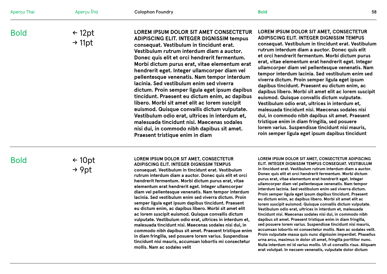| Aperçu Thai | Aperçu ไทย                              | <b>Colophon Foundry</b>                                                                                                                                                                                                                                                                                                                                                                                                                                                                                                                                                                                                                                                                                                                                                             | 58<br><b>Bold</b>                                                                                                                                                                                                                                                                                                                                                                                                                                                                                                                                                                                                                                                                                                                                                                                                                                                                               |
|-------------|-----------------------------------------|-------------------------------------------------------------------------------------------------------------------------------------------------------------------------------------------------------------------------------------------------------------------------------------------------------------------------------------------------------------------------------------------------------------------------------------------------------------------------------------------------------------------------------------------------------------------------------------------------------------------------------------------------------------------------------------------------------------------------------------------------------------------------------------|-------------------------------------------------------------------------------------------------------------------------------------------------------------------------------------------------------------------------------------------------------------------------------------------------------------------------------------------------------------------------------------------------------------------------------------------------------------------------------------------------------------------------------------------------------------------------------------------------------------------------------------------------------------------------------------------------------------------------------------------------------------------------------------------------------------------------------------------------------------------------------------------------|
| <b>Bold</b> | $\leftarrow$ 12pt<br>$\rightarrow$ 11pt | LOREM IPSUM DOLOR SIT AMET CONSECTETUR<br><b>ADIPISCING ELIT. INTEGER DIGNISSIM tempus</b><br>consequat. Vestibulum in tincidunt erat.<br>Vestibulum rutrum interdum diam a auctor.<br>Donec quis elit et orci hendrerit fermentum.<br>Morbi dictum purus erat, vitae elementum erat<br>hendrerit eget. Integer ullamcorper diam vel<br>pellentesque venenatis. Nam tempor interdum<br>lacinia. Sed vestibulum enim sed viverra<br>dictum. Proin semper ligula eget ipsum dapibus<br>tincidunt. Praesent eu dictum enim, ac dapibus<br>libero. Morbi sit amet elit ac lorem suscipit<br>euismod. Quisque convallis dictum vulputate.<br>Vestibulum odio erat, ultrices in interdum et,<br>malesuada tincidunt nisi. Maecenas sodales<br>nisi dui, in commodo nibh dapibus sit amet. | LOREM IPSUM DOLOR SIT AMET, CONSECTETUR<br><b>ADIPISCING ELIT. INTEGER DIGNISSIM TEMPUS</b><br>consequat. Vestibulum in tincidunt erat. Vestibulum<br>rutrum interdum diam a auctor. Donec quis elit<br>et orci hendrerit fermentum. Morbi dictum purus<br>erat, vitae elementum erat hendrerit eget. Integer<br>ullamcorper diam vel pellentesque venenatis. Nam<br>tempor interdum lacinia. Sed vestibulum enim sed<br>viverra dictum. Proin semper ligula eget ipsum<br>dapibus tincidunt. Praesent eu dictum enim, ac<br>dapibus libero. Morbi sit amet elit ac lorem suscipit<br>euismod. Quisque convallis dictum vulputate.<br>Vestibulum odio erat, ultrices in interdum et,<br>malesuada tincidunt nisi. Maecenas sodales nisi<br>dui, in commodo nibh dapibus sit amet. Praesent<br>tristique enim in diam fringilla, sed posuere<br>lorem varius. Suspendisse tincidunt nisi mauris, |

Bold

← 10pt → 9pt

#### **LOREM IPSUM DOLOR SIT AMET, CONSECTETUR**

**Praesent tristique enim in diam** 

**ADIPISCING ELIT. INTEGER DIGNISSIM TEMPUS consequat. Vestibulum in tincidunt erat. Vestibulum rutrum interdum diam a auctor. Donec quis elit et orci hendrerit fermentum. Morbi dictum purus erat, vitae elementum erat hendrerit eget. Integer ullamcorper diam vel pellentesque venenatis. Nam tempor interdum lacinia. Sed vestibulum enim sed viverra dictum. Proin semper ligula eget ipsum dapibus tincidunt. Praesent eu dictum enim, ac dapibus libero. Morbi sit amet elit ac lorem suscipit euismod. Quisque convallis dictum vulputate. Vestibulum odio erat, ultrices in interdum et, malesuada tincidunt nisi. Maecenas sodales nisi dui, in commodo nibh dapibus sit amet. Praesent tristique enim in diam fringilla, sed posuere lorem varius. Suspendisse tincidunt nisi mauris, accumsan lobortis mi consectetur mollis. Nam ac sodales velit**

#### **LOREM IPSUM DOLOR SIT AMET, CONSECTETUR ADIPISCING ELIT. INTEGER DIGNISSIM TEMPUS CONSEQUAT. VESTIBULUM**

**roin semper ligula eget ipsum dapibus tincidunt**

**in tincidunt erat. Vestibulum rutrum interdum diam a auctor. Donec quis elit et orci hendrerit fermentum. Morbi dictum purus erat, vitae elementum erat hendrerit eget. Integer ullamcorper diam vel pellentesque venenatis. Nam tempor interdum lacinia. Sed vestibulum enim sed viverra dictum. Proin semper ligula eget ipsum dapibus tincidunt. Praesent eu dictum enim, ac dapibus libero. Morbi sit amet elit ac lorem suscipit euismod. Quisque convallis dictum vulputate. Vestibulum odio erat, ultrices in interdum et, malesuada tincidunt nisi. Maecenas sodales nisi dui, in commodo nibh dapibus sit amet. Praesent tristique enim in diam fringilla, sed posuere lorem varius. Suspendisse tincidunt nisi mauris, accumsan lobortis mi consectetur mollis. Nam ac sodales velit. Proin vulputate massa quis nunc dignissim imperdiet. Phasellus urna arcu, maximus in dolor sit amet, fringilla porttitor nunc. Nulla interdum mi id varius mollis. Ut ut convallis risus. Aliquam erat volutpat. In necsem venenatis, vulputate dolor dictum**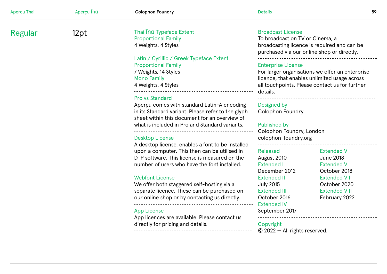| Aperçu Thai | Aperçu ไทย | <b>Colophon Foundry</b>                                                                                                                                                                                                       | <b>Details</b>                                                                                                                                                                                                                                                                                                                                         | 59 |
|-------------|------------|-------------------------------------------------------------------------------------------------------------------------------------------------------------------------------------------------------------------------------|--------------------------------------------------------------------------------------------------------------------------------------------------------------------------------------------------------------------------------------------------------------------------------------------------------------------------------------------------------|----|
| Regular     | 12pt       | Thai ไทย Typeface Extent<br><b>Proportional Family</b><br>4 Weights, 4 Styles                                                                                                                                                 | <b>Broadcast License</b><br>To broadcast on TV or Cinema, a<br>broadcasting licence is required and can be<br>purchased via our online shop or directly.<br><b>Enterprise License</b><br>For larger organisations we offer an enterprise<br>licence, that enables unlimited usage across<br>all touchpoints. Please contact us for further<br>details. |    |
|             |            | Latin / Cyrillic / Greek Typeface Extent<br><b>Proportional Family</b><br>7 Weights, 14 Styles<br><b>Mono Family</b><br>4 Weights, 4 Styles                                                                                   |                                                                                                                                                                                                                                                                                                                                                        |    |
|             |            | <b>Pro vs Standard</b><br>Apercu comes with standard Latin-A encoding<br>in its Standard variant. Please refer to the glyph<br>sheet within this document for an overview of                                                  | Designed by<br><b>Colophon Foundry</b>                                                                                                                                                                                                                                                                                                                 |    |
|             |            | what is included in Pro and Standard variants.                                                                                                                                                                                | <b>Published by</b><br>Colophon Foundry, London                                                                                                                                                                                                                                                                                                        |    |
|             |            | <b>Desktop License</b><br>A desktop license, enables a font to be installed<br>upon a computer. This then can be utilised in<br>DTP software. This license is measured on the<br>number of users who have the font installed. | colophon-foundry.org<br>Released<br><b>Extended V</b><br><b>June 2018</b><br>August 2010<br><b>Extended I</b><br><b>Extended VI</b><br>December 2012<br>October 2018<br><b>Extended II</b><br><b>Extended VII</b><br><b>July 2015</b><br>October 2020<br><b>Extended VIII</b><br><b>Extended III</b><br>February 2022<br>October 2016                  |    |
|             |            | <b>Webfont License</b><br>We offer both staggered self-hosting via a<br>separate licence. These can be purchased on<br>our online shop or by contacting us directly.                                                          |                                                                                                                                                                                                                                                                                                                                                        |    |
|             |            | <b>App License</b><br>App licences are available. Please contact us<br>directly for pricing and details.                                                                                                                      | <b>Extended IV</b><br>September 2017<br>Copyright<br>$\odot$ 2022 $-$ All rights reserved.                                                                                                                                                                                                                                                             |    |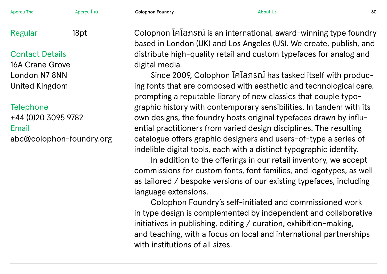| Aperçu Thai                  | Aperçu ไทย | <b>Colophon Foundry</b>                                                                                                               | <b>About Us</b>                                                                                                                                                                                            | 60 |
|------------------------------|------------|---------------------------------------------------------------------------------------------------------------------------------------|------------------------------------------------------------------------------------------------------------------------------------------------------------------------------------------------------------|----|
| <b>Regular</b>               | 18pt       |                                                                                                                                       | Colophon โคโลภรณ์ is an international, award-winning type foundry<br>based in London (UK) and Los Angeles (US). We create, publish, and                                                                    |    |
| <b>Contact Details</b>       |            |                                                                                                                                       | distribute high-quality retail and custom typefaces for analog and                                                                                                                                         |    |
| <b>16A Crane Grove</b>       |            | digital media.                                                                                                                        |                                                                                                                                                                                                            |    |
| London N7 8NN                |            |                                                                                                                                       | Since 2009, Colophon InIansnI has tasked itself with produc-                                                                                                                                               |    |
| <b>United Kingdom</b>        |            | ing fonts that are composed with aesthetic and technological care,<br>prompting a reputable library of new classics that couple typo- |                                                                                                                                                                                                            |    |
| <b>Telephone</b>             |            |                                                                                                                                       | graphic history with contemporary sensibilities. In tandem with its                                                                                                                                        |    |
| +44 (0)20 3095 9782<br>Email |            |                                                                                                                                       | own designs, the foundry hosts original typefaces drawn by influ-<br>ential practitioners from varied design disciplines. The resulting                                                                    |    |
| abc@colophon-foundry.org     |            |                                                                                                                                       | catalogue offers graphic designers and users-of-type a series of<br>indelible digital tools, each with a distinct typographic identity.<br>In addition to the offerings in our retail inventory, we accept |    |
|                              |            |                                                                                                                                       | commissions for custom fonts, font families, and logotypes, as well                                                                                                                                        |    |
|                              |            |                                                                                                                                       | as tailored / bespoke versions of our existing typefaces, including                                                                                                                                        |    |
|                              |            | language extensions.                                                                                                                  |                                                                                                                                                                                                            |    |
|                              |            |                                                                                                                                       | Colophon Foundry's self-initiated and commissioned work                                                                                                                                                    |    |
|                              |            |                                                                                                                                       | in type design is complemented by independent and collaborative                                                                                                                                            |    |
|                              |            |                                                                                                                                       | initiatives in publishing, editing / curation, exhibition-making,                                                                                                                                          |    |
|                              |            |                                                                                                                                       | and togething with a focus on local and international partnerships                                                                                                                                         |    |

and teaching, with a focus on local and international partnerships with institutions of all sizes.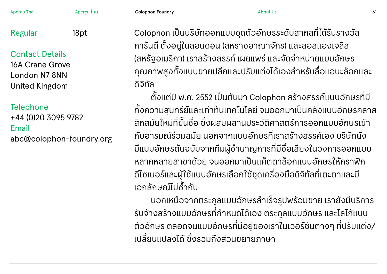| Aperçu Thai                                                                                | Aperçu ไทย | <b>Colophon Foundry</b>                | <b>About Us</b>                                                                                                                                                                                                                                                                                                                                                                                               | 61 |
|--------------------------------------------------------------------------------------------|------------|----------------------------------------|---------------------------------------------------------------------------------------------------------------------------------------------------------------------------------------------------------------------------------------------------------------------------------------------------------------------------------------------------------------------------------------------------------------|----|
| <b>Regular</b>                                                                             | 18pt       |                                        | Colophon เป็นบริษัทออกแบบชุดตัวอักษรระดับสากลที่ได้รับรางวัล<br>้การันตี ตั้งอยู่ในลอนดอน (สหราชอาณาจักร) และลอสแองเจลิส                                                                                                                                                                                                                                                                                      |    |
| <b>Contact Details</b><br><b>16A Crane Grove</b><br>London N7 8NN<br><b>United Kingdom</b> |            | ้ดิจิทัล                               | (สหรัฐอเมริกา) เราสร้างสรรค์ เผยแพร่ และจัดจำหน่ายแบบอักษร<br>้คุณภาพสูงทั้งแบบขายปลีกและปรับแต่งได้เองสำหรับสื่อแอนะล็อกและ                                                                                                                                                                                                                                                                                  |    |
|                                                                                            |            |                                        | ้ตั้งแต่ปี พ.ศ. 2552 เป็นต้นมา Colophon สร้างสรรค์แบบอักษรที่มี                                                                                                                                                                                                                                                                                                                                               |    |
| <b>Telephone</b><br>+44 (0)20 3095 9782<br>Email<br>abc@colophon-foundry.org               |            | ้เอกลักษณ์ไม่ซ้ำกัน                    | ้ทั้งความสุนทรีย์และเท่าทันเทคโนโลยี จนออกมาเป็นคลังแบบอักษรคลาส<br>้สิกสมัยใหม่ที่ขึ้นชื่อ ซึ่งผสมผสานประวัติศาสตร์การออกแบบอักษรเข้า<br>้กับอารมณ์ร่วมสมัย นอกจากแบบอักษรที่เราสร้างสรรค์เอง บริษัทยัง<br>มีแบบอักษรต้นฉบับจากทีมผู้ชำนาญการที่มีชื่อเสียงในวงการออกแบบ<br>้หลากหลายสาขาด้วย จนออกมาเป็นแค็ตตาล็อกแบบอักษรให้กราฟิก<br>้ดีไซเนอร์และผู้ใช้แบบอักษรเลือกใช้ชุดเครื่องมือดิจิทัลที่เตะตาและมี |    |
|                                                                                            |            |                                        | ้นอกเหนือจากตระกูลแบบอักษรสำเร็จรูปพร้อมขาย เรายังมีบริการ<br>รับจ้างสร้างแบบอักษรที่กำหนดได้เอง ตระกูลแบบอักษร และโลโก้แบบ                                                                                                                                                                                                                                                                                   |    |
|                                                                                            |            | $\mathbf{z} = \mathbf{z} + \mathbf{z}$ | ตัวอักษร ตลอดจนแบบอักษรที่มีอยู่ของเราในเวอร์ชันต่างๆ ที่ปรับแต่ง/                                                                                                                                                                                                                                                                                                                                            |    |

เปลี่่ยนแปลงได้้ซึ่่งรวมถึึงส่่วนขยายภาษา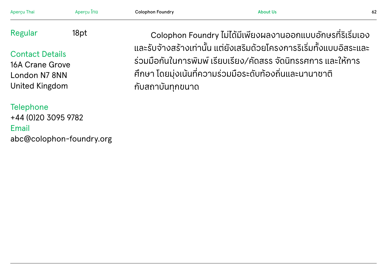| Aperçu Thai                                                                         | Aperçu ไทย | <b>Colophon Foundry</b>                                                                                                                                                                                                   | <b>About Us</b>                                             | 62 |
|-------------------------------------------------------------------------------------|------------|---------------------------------------------------------------------------------------------------------------------------------------------------------------------------------------------------------------------------|-------------------------------------------------------------|----|
| Regular                                                                             | 18pt       |                                                                                                                                                                                                                           | Colophon Foundry ไม่ได้มีเพียงผลงานออกแบบอักษรที่ริเริ่มเอง |    |
| <b>Contact Details</b><br><b>16A Crane Grove</b><br>London N7 8NN<br>United Kingdom |            | ้ และรับจ้างสร้างเท่านั้น แต่ยังเสริมด้วยโครงการริเริ่มทั้งแบบอิสระและ<br>้ร่วมมือกันในการพิมพ์ เรียบเรียง/คัดสรร จัดนิทรรศการ และให้การ<br>้ศึกษา โดยมุ่งเน้นที่ความร่วมมือระดับท้องถิ่นและนานาชาติ<br>้กับสถาบันทุกขนาด |                                                             |    |
| <b>Telephone</b><br>+44 (0)20 3095 9782<br>Email<br>abc@colophon-foundry.org        |            |                                                                                                                                                                                                                           |                                                             |    |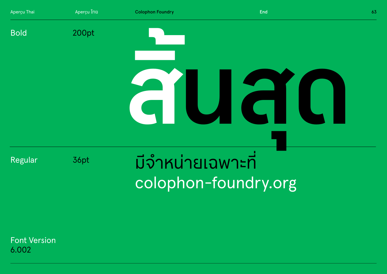

**Font Version** 6.002